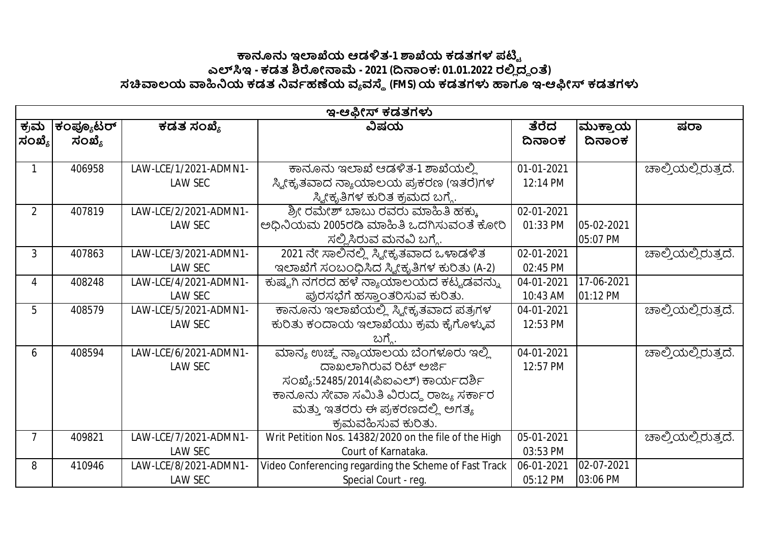## **౽ඞඝ ಇมಒಯ ಆಡัತ-1 ๎ಒಯ ಕಡತಗಳ ಪഔౣ ಎฯ ಇ - ಕಡತ ๏ฌೕක෫ - 2021 (ൽකಂಕ: 01.01.2022 ರย ದ౪ ಂ) ಸ฿ಲಯ ฿ඛಯ ಕಡತ ඛವბಹൕಯ ವ ವ౩ (FMS)ಯ ಕಡತಗำ ಟಇ-ಆඹೕ ಕಡತಗำ**

|                | ಇ-ಆಫೀಸ್ ಕಡತಗಳು |                       |                                                       |            |            |                     |  |  |
|----------------|----------------|-----------------------|-------------------------------------------------------|------------|------------|---------------------|--|--|
| ಕ್ರಮ           | ಕಂಪ್ಯೂಟರ್      | ಕಡತ ಸಂಖ್ಯೆ            | ವಿಷಯ                                                  | ತೆರೆದ      | ಮುಕ್ತಾಯ    | ಷರಾ                 |  |  |
| $ $ ಸಂಖ್ಯೆ $ $ | ಸಂಖ್ಯೆ         |                       |                                                       | ದಿನಾಂಕ     | ದಿನಾಂಕ     |                     |  |  |
|                |                |                       |                                                       |            |            |                     |  |  |
|                | 406958         | LAW-LCE/1/2021-ADMN1- | ಕಾನೂನು ಇಲಾಖೆ ಆಡಳಿತ-1 ಶಾಖೆಯಲ್ಲಿ                        | 01-01-2021 |            | ಚಾಲ್ತಿಯಲ್ಲಿರುತ್ತದೆ. |  |  |
|                |                | <b>LAW SEC</b>        | ಸ್ಯೀಕೃತವಾದ ನ್ಯಾಯಾಲಯ ಪ್ರಕರಣ (ಇತರೆ)ಗಳ                   | 12:14 PM   |            |                     |  |  |
|                |                |                       | ಸ್ಯೀಕೃತಿಗಳ ಕುರಿತ ಕ್ರಮದ ಬಗ್ಗೆ.                         |            |            |                     |  |  |
| $\overline{2}$ | 407819         | LAW-LCE/2/2021-ADMN1- | ಶ್ರೀ ರಮೇಶ್ ಬಾಬು ರವರು ಮಾಹಿತಿ ಹಕ್ಕು                     | 02-01-2021 |            |                     |  |  |
|                |                | <b>LAW SEC</b>        | ಅಧಿನಿಯಮ 2005ರಡಿ ಮಾಹಿತಿ ಒದಗಿಸುವಂತೆ ಕೋರಿ                | 01:33 PM   | 05-02-2021 |                     |  |  |
|                |                |                       | ಸಲ್ಲಿಸಿರುವ ಮನವಿ ಬಗ್ಗೆ.                                |            | 05:07 PM   |                     |  |  |
| 3              | 407863         | LAW-LCE/3/2021-ADMN1- | 2021 ನೇ ಸಾಲಿನಲ್ಲಿ ಸ್ಟೀಕೃತವಾದ ಒಳಾಡಳಿತ                  | 02-01-2021 |            | ಚಾಲ್ತಿಯಲ್ಲಿರುತ್ತದೆ. |  |  |
|                |                | <b>LAW SEC</b>        | ಇಲಾಖೆಗೆ ಸಂಬಂಧಿಸಿದ ಸ್ವೀಕೃತಿಗಳ ಕುರಿತು (A-2)             | 02:45 PM   |            |                     |  |  |
| 4              | 408248         | LAW-LCE/4/2021-ADMN1- | ಕುಷ್ಟಗಿ ನಗರದ ಹಳೆ ನ್ಯಾಯಾಲಯದ ಕಟ್ಟಡವನ್ನು                 | 04-01-2021 | 17-06-2021 |                     |  |  |
|                |                | <b>LAW SEC</b>        | ಪುರಸಭೆಗೆ ಹಸ್ತಾಂತರಿಸುವ ಕುರಿತು.                         | 10:43 AM   | 01:12 PM   |                     |  |  |
| 5              | 408579         | LAW-LCE/5/2021-ADMN1- | ಕಾನೂನು ಇಲಾಖೆಯಲ್ಲಿ ಸ್ಕ್ರೀಕೃತವಾದ ಪತ್ರಗಳ                 | 04-01-2021 |            | ಚಾಲ್ತಿಯಲ್ಲಿರುತ್ತದೆ. |  |  |
|                |                | <b>LAW SEC</b>        | ಕುರಿತು ಕಂದಾಯ ಇಲಾಖೆಯು ಕ್ರಮ ಕೈಗೊಳ್ಳುವ                   | 12:53 PM   |            |                     |  |  |
|                |                |                       | ಬಗ್ಸೆ.                                                |            |            |                     |  |  |
| 6              | 408594         | LAW-LCE/6/2021-ADMN1- | ಮಾನ್ಯ ಉಚ್ಮ ನ್ಯಾಯಾಲಯ ಬೆಂಗಳೂರು ಇಲ್ಲಿ                    | 04-01-2021 |            | ಚಾಲ್ತಿಯಲ್ಲಿರುತ್ತದೆ. |  |  |
|                |                | <b>LAW SEC</b>        | ದಾಖಲಾಗಿರುವ ರಿಟ್ ಅರ್ಜಿ                                 | 12:57 PM   |            |                     |  |  |
|                |                |                       | ಸಂಖ್ಯೆ:52485/2014(ಪಿಐಎಲ್) ಕಾರ್ಯದರ್ಶಿ                  |            |            |                     |  |  |
|                |                |                       | ಕಾನೂನು ಸೇವಾ ಸಮಿತಿ ವಿರುದ್ಧ ರಾಜ್ಯ ಸರ್ಕಾರ                |            |            |                     |  |  |
|                |                |                       | ಮತ್ತು ಇತರರು ಈ ಪ್ರಕರಣದಲ್ಲಿ ಅಗತ್ಯ                       |            |            |                     |  |  |
|                |                |                       | ಕ್ರಮವಹಿಸುವ ಕುರಿತು.                                    |            |            |                     |  |  |
| 7              | 409821         | LAW-LCE/7/2021-ADMN1- | Writ Petition Nos. 14382/2020 on the file of the High | 05-01-2021 |            | ಚಾಲ್ತಿಯಲ್ಲಿರುತ್ತದೆ. |  |  |
|                |                | <b>LAW SEC</b>        | Court of Karnataka.                                   | 03:53 PM   |            |                     |  |  |
| 8              | 410946         | LAW-LCE/8/2021-ADMN1- | Video Conferencing regarding the Scheme of Fast Track | 06-01-2021 | 02-07-2021 |                     |  |  |
|                |                | LAW SEC               | Special Court - reg.                                  | 05:12 PM   | 03:06 PM   |                     |  |  |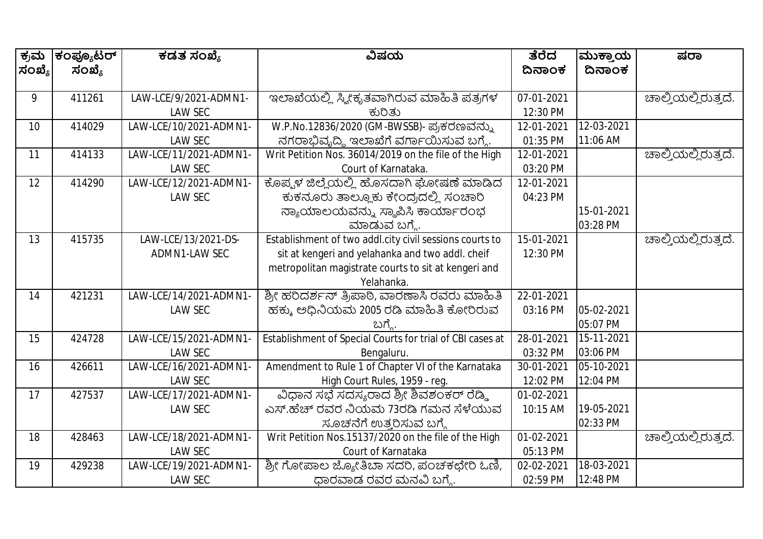| ಕ್ರಮ   | ಕಂಪ್ಯೂಟರ್ | ಕಡತ ಸಂಖ್ಯೆ             | ವಿಷಯ                                                      | ತೆರೆದ      | ಮುಕ್ತಾಯ    | ಷರಾ                 |
|--------|-----------|------------------------|-----------------------------------------------------------|------------|------------|---------------------|
| ಸಂಖ್ಯೆ | ಸಂಖ್ಯೆ    |                        |                                                           | ದಿನಾಂಕ     | ದಿನಾಂಕ     |                     |
|        |           |                        |                                                           |            |            |                     |
| 9      | 411261    | LAW-LCE/9/2021-ADMN1-  | ಇಲಾಖೆಯಲ್ಲಿ ಸ್ಯೀಕೃತವಾಗಿರುವ ಮಾಹಿತಿ ಪತ್ರಗಳ                   | 07-01-2021 |            | ಚಾಲ್ತಿಯಲ್ಲಿರುತ್ತದೆ. |
|        |           | <b>LAW SEC</b>         | ಕುರಿತು                                                    | 12:30 PM   |            |                     |
| 10     | 414029    | LAW-LCE/10/2021-ADMN1- | W.P.No.12836/2020 (GM-BWSSB)- ಪ್ರಕರಣವನ್ನು                 | 12-01-2021 | 12-03-2021 |                     |
|        |           | <b>LAW SEC</b>         | ನಗರಾಭಿವೃದ್ಧಿ ಇಲಾಖೆಗೆ ವರ್ಗಾಯಿಸುವ ಬಗ್ಗೆ.                    | 01:35 PM   | 11:06 AM   |                     |
| 11     | 414133    | LAW-LCE/11/2021-ADMN1- | Writ Petition Nos. 36014/2019 on the file of the High     | 12-01-2021 |            | ಚಾಲ್ತಿಯಲ್ಲಿರುತ್ತದೆ. |
|        |           | <b>LAW SEC</b>         | Court of Karnataka.                                       | 03:20 PM   |            |                     |
| 12     | 414290    | LAW-LCE/12/2021-ADMN1- | ಕೊಪ್ಪಳ ಜಿಲ್ಲೆಯಲ್ಲಿ ಹೊಸದಾಗಿ ಘೋಷಣೆ ಮಾಡಿದ                    | 12-01-2021 |            |                     |
|        |           | LAW SEC                | ಕುಕನೂರು ತಾಲ್ಲೂಕು ಕೇಂದ್ರದಲ್ಲಿ ಸಂಚಾರಿ                       | 04:23 PM   |            |                     |
|        |           |                        | ನ್ಯಾಯಾಲಯವನ್ನು ಸ್ಥಾಪಿಸಿ ಕಾರ್ಯಾರಂಭ                          |            | 15-01-2021 |                     |
|        |           |                        | ಮಾಡುವ ಬಗ್ಗೆ.                                              |            | 03:28 PM   |                     |
| 13     | 415735    | LAW-LCE/13/2021-DS-    | Establishment of two addl.city civil sessions courts to   | 15-01-2021 |            | ಚಾಲ್ತಿಯಲ್ಲಿರುತ್ತದೆ. |
|        |           | ADMN1-LAW SEC          | sit at kengeri and yelahanka and two addl. cheif          | 12:30 PM   |            |                     |
|        |           |                        | metropolitan magistrate courts to sit at kengeri and      |            |            |                     |
|        |           |                        | Yelahanka.                                                |            |            |                     |
| 14     | 421231    | LAW-LCE/14/2021-ADMN1- | ಶ್ರೀ ಹರಿದರ್ಶನ್ ತ್ರಿಪಾಠಿ, ವಾರಣಾಸಿ ರವರು ಮಾಹಿತಿ              | 22-01-2021 |            |                     |
|        |           | LAW SEC                | ಹಕ್ಕು ಅಧಿನಿಯಮ 2005 ರಡಿ ಮಾಹಿತಿ ಕೋರಿರುವ                     | 03:16 PM   | 05-02-2021 |                     |
|        |           |                        | ಬಗ್ಗೆ                                                     |            | 05:07 PM   |                     |
| 15     | 424728    | LAW-LCE/15/2021-ADMN1  | Establishment of Special Courts for trial of CBI cases at | 28-01-2021 | 15-11-2021 |                     |
|        |           | <b>LAW SEC</b>         | Bengaluru.                                                | 03:32 PM   | 03:06 PM   |                     |
| 16     | 426611    | LAW-LCE/16/2021-ADMN1- | Amendment to Rule 1 of Chapter VI of the Karnataka        | 30-01-2021 | 05-10-2021 |                     |
|        |           | LAW SEC                | High Court Rules, 1959 - reg.                             | 12:02 PM   | 12:04 PM   |                     |
| 17     | 427537    | LAW-LCE/17/2021-ADMN1- | ವಿಧಾನ ಸಭೆ ಸದಸ್ಯರಾದ ಶ್ರೀ ಶಿವಶಂಕರ್ ರೆಡ್ಡಿ                   | 01-02-2021 |            |                     |
|        |           | LAW SEC                | ಎಸ್.ಹೆಚ್ ರವರ ನಿಯಮ 73ರಡಿ ಗಮನ ಸೆಳೆಯುವ                       | 10:15 AM   | 19-05-2021 |                     |
|        |           |                        | ಸೂಚನೆಗೆ ಉತ್ತರಿಸುವ ಬಗ್ಗೆ                                   |            | 02:33 PM   |                     |
| 18     | 428463    | LAW-LCE/18/2021-ADMN1- | Writ Petition Nos. 15137/2020 on the file of the High     | 01-02-2021 |            | ಚಾಲ್ತಿಯಲ್ಲಿರುತ್ತದೆ. |
|        |           | LAW SEC                | Court of Karnataka                                        | 05:13 PM   |            |                     |
| 19     | 429238    | LAW-LCE/19/2021-ADMN1- | ಶ್ರೀ ಗೋಪಾಲ ಜ್ಯೋತಿಬಾ ಸದರಿ, ಪಂಚಕಛೇರಿ ಓಣಿ,                   | 02-02-2021 | 18-03-2021 |                     |
|        |           | LAW SEC                | ಧಾರವಾಡ ರವರ ಮನವಿ ಬಗ್ಮೆ.                                    | 02:59 PM   | 12:48 PM   |                     |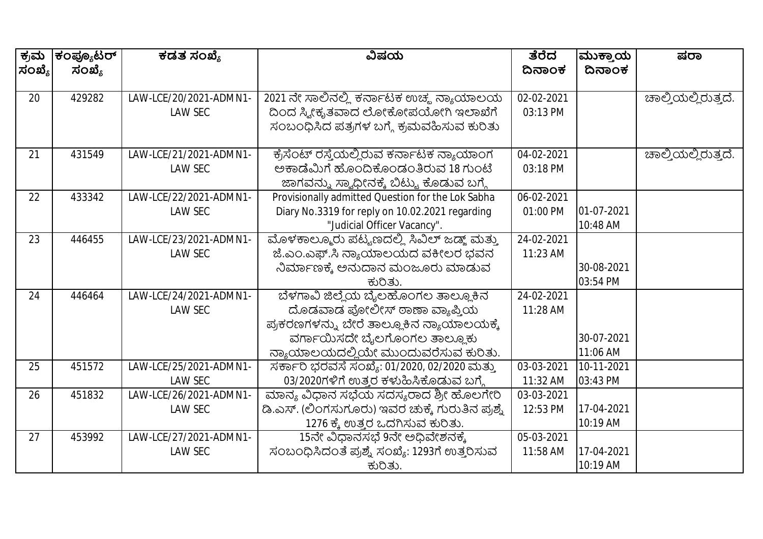| ಕ್ರಮ   | ಕಂಪ್ಯೂಟರ್ | ಕಡತ ಸಂಖ್ಯೆ             | ವಿಷಯ                                              | ತೆರೆದ      | ಮುಕ್ತಾಯ    | ಷರಾ                 |
|--------|-----------|------------------------|---------------------------------------------------|------------|------------|---------------------|
| ಸಂಖ್ಯೆ | ಸಂಖ್ಯೆ    |                        |                                                   | ದಿನಾಂಕ     | ದಿನಾಂಕ     |                     |
| 20     | 429282    | LAW-LCE/20/2021-ADMN1- | 2021 ನೇ ಸಾಲಿನಲ್ಲಿ ಕರ್ನಾಟಕ ಉಚ್ಮ ನ್ಯಾಯಾಲಯ           | 02-02-2021 |            | ಚಾಲ್ತಿಯಲ್ಲಿರುತ್ತದೆ. |
|        |           | <b>LAW SEC</b>         | ದಿಂದ ಸ್ವೀಕೃತವಾದ ಲೋಕೋಪಯೋಗಿ ಇಲಾಖೆಗೆ                 | 03:13 PM   |            |                     |
|        |           |                        | ಸಂಬಂಧಿಸಿದ ಪತ್ರಗಳ ಬಗ್ಗೆ ಕ್ರಮವಹಿಸುವ ಕುರಿತು          |            |            |                     |
| 21     | 431549    | LAW-LCE/21/2021-ADMN1- | ಕ್ರೆಸೆಂಟ್ ರಸ್ತೆಯಲ್ಲಿರುವ ಕರ್ನಾಟಕ ನ್ಯಾಯಾಂಗ          | 04-02-2021 |            | ಚಾಲ್ತಿಯಲ್ಲಿರುತ್ತದೆ. |
|        |           | <b>LAW SEC</b>         | ಅಕಾಡೆಮಿಗೆ ಹೊಂದಿಕೊಂಡಂತಿರುವ 18 ಗುಂಟೆ                | 03:18 PM   |            |                     |
|        |           |                        | ಜಾಗವನ್ನು ಸ್ವಾಧೀನಕ್ಕೆ ಬಿಟ್ಟು ಕೊಡುವ ಬಗ್ಗೆ           |            |            |                     |
| 22     | 433342    | LAW-LCE/22/2021-ADMN1- | Provisionally admitted Question for the Lok Sabha | 06-02-2021 |            |                     |
|        |           | <b>LAW SEC</b>         | Diary No.3319 for reply on 10.02.2021 regarding   | 01:00 PM   | 01-07-2021 |                     |
|        |           |                        | "Judicial Officer Vacancy".                       |            | 10:48 AM   |                     |
| 23     | 446455    | LAW-LCE/23/2021-ADMN1- | ಮೊಳಕಾಲ್ಮೂರು ಪಟ್ಟಣದಲ್ಲಿ ಸಿವಿಲ್ ಜಡ್ಜ್ ಮತ್ತು         | 24-02-2021 |            |                     |
|        |           | <b>LAW SEC</b>         | ಜೆ.ಎಂ.ಎಫ್.ಸಿ ನ್ಯಾಯಾಲಯದ ವಕೀಲರ ಭವನ                  | 11:23 AM   |            |                     |
|        |           |                        | ನಿರ್ಮಾಣಕ್ಕೆ ಅನುದಾನ ಮಂಜೂರು ಮಾಡುವ                   |            | 30-08-2021 |                     |
|        |           |                        | ಕುರಿತು.                                           |            | 03:54 PM   |                     |
| 24     | 446464    | LAW-LCE/24/2021-ADMN1- | ಬೆಳಗಾವಿ ಜಿಲ್ಲೆಯ ಬೈಲಹೊಂಗಲ ತಾಲ್ಲೂಕಿನ                | 24-02-2021 |            |                     |
|        |           | <b>LAW SEC</b>         | ದೊಡವಾಡ ಫೋಲೀಸ್ ಠಾಣಾ ವ್ಯಾಪ್ತಿಯ                      | 11:28 AM   |            |                     |
|        |           |                        | ಪ್ರಕರಣಗಳನ್ನು ಬೇರೆ ತಾಲ್ಲೂಕಿನ ನ್ಯಾಯಾಲಯಕ್ಕೆ          |            |            |                     |
|        |           |                        | ವರ್ಗಾಯಿಸದೇ ಬೈಲಗೊಂಗಲ ತಾಲ್ಲೂಕು                      |            | 30-07-2021 |                     |
|        |           |                        | ನ್ಯಾಯಾಲಯದಲ್ಲಿಯೇ ಮುಂದುವರೆಸುವ ಕುರಿತು.               |            | 11:06 AM   |                     |
| 25     | 451572    | LAW-LCE/25/2021-ADMN1- | ಸರ್ಕಾರಿ ಭರವಸೆ ಸಂಖ್ಯೆ: 01/2020, 02/2020 ಮತ್ತು      | 03-03-2021 | 10-11-2021 |                     |
|        |           | <b>LAW SEC</b>         | 03/2020ಗಳಿಗೆ ಉತ್ತರ ಕಳುಹಿಸಿಕೊಡುವ ಬಗ್ಗೆ             | 11:32 AM   | 03:43 PM   |                     |
| 26     | 451832    | LAW-LCE/26/2021-ADMN1- | ಮಾನ್ಯ ವಿಧಾನ ಸಭೆಯ ಸದಸ್ಯರಾದ ಶ್ರೀ ಹೊಲಗೇರಿ            | 03-03-2021 |            |                     |
|        |           | <b>LAW SEC</b>         | ಡಿ.ಎಸ್. (ಲಿಂಗಸುಗೂರು) ಇವರ ಚುಕ್ಕೆ ಗುರುತಿನ ಪ್ರಶ್ನೆ   | 12:53 PM   | 17-04-2021 |                     |
|        |           |                        | 1276 ಕ್ಕೆ ಉತ್ತರ ಒದಗಿಸುವ ಕುರಿತು.                   |            | 10:19 AM   |                     |
| 27     | 453992    | LAW-LCE/27/2021-ADMN1- | 15ನೇ ವಿಧಾನಸಭೆ 9ನೇ ಅಧಿವೇಶನಕ್ಕೆ                     | 05-03-2021 |            |                     |
|        |           | <b>LAW SEC</b>         | ಸಂಬಂಧಿಸಿದಂತೆ ಪ್ರಶ್ನೆ ಸಂಖ್ಯೆ: 1293ಗೆ ಉತ್ತರಿಸುವ     | 11:58 AM   | 17-04-2021 |                     |
|        |           |                        | ಕುರಿತು.                                           |            | 10:19 AM   |                     |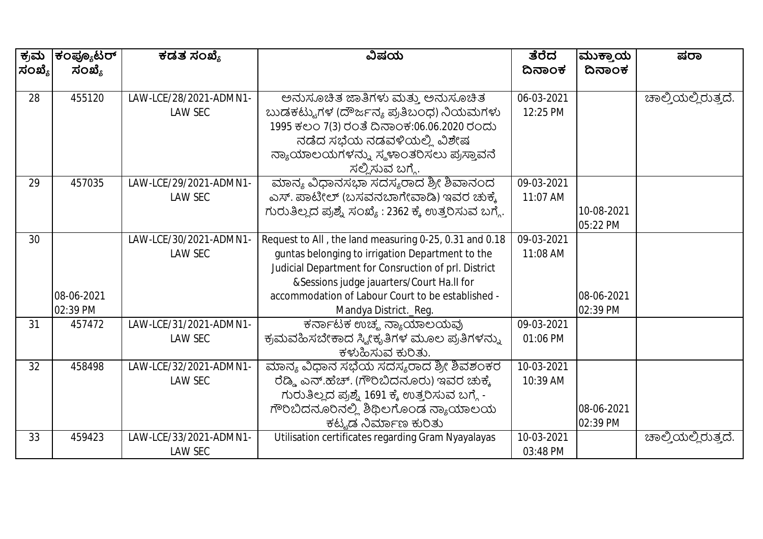| ಕ್ರಮ   | ಕಂಪ್ಯೂಟರ್  | ಕಡತ ಸಂಖ್ಯೆ             | ವಿಷಯ                                                   | ತೆರೆದ      | ಮುಕ್ತಾಯ    | ಷರಾ                 |
|--------|------------|------------------------|--------------------------------------------------------|------------|------------|---------------------|
| ಸಂಖ್ಯೆ | ಸಂಖ್ಯೆ     |                        |                                                        | ದಿನಾಂಕ     | ದಿನಾಂಕ     |                     |
|        |            |                        |                                                        |            |            |                     |
| 28     | 455120     | LAW-LCE/28/2021-ADMN1- | ಅನುಸೂಚಿತ ಜಾತಿಗಳು ಮತ್ತು ಅನುಸೂಚಿತ                        | 06-03-2021 |            | ಚಾಲ್ಕಿಯಲ್ಲಿರುತ್ತದೆ. |
|        |            | <b>LAW SEC</b>         | ಬುಡಕಟ್ಟುಗಳ (ದೌರ್ಜನ್ಯ ಪ್ರತಿಬಂಧ) ನಿಯಮಗಳು                 | 12:25 PM   |            |                     |
|        |            |                        | 1995 ಕಲಂ 7(3) ರಂತೆ ದಿನಾಂಕ:06.06.2020 ರಂದು              |            |            |                     |
|        |            |                        | ನಡೆದ ಸಭೆಯ ನಡವಳಿಯಲ್ಲಿ ವಿಶೇಷ                             |            |            |                     |
|        |            |                        | ನ್ಯಾಯಾಲಯಗಳನ್ನು ಸ್ಥಳಾಂತರಿಸಲು ಪ್ರಸ್ತಾವನೆ                 |            |            |                     |
|        |            |                        | ಸಲ್ಲಿಸುವ ಬಗ್ಗೆ.                                        |            |            |                     |
| 29     | 457035     | LAW-LCE/29/2021-ADMN1- | ಮಾನ್ಯ ವಿಧಾನಸಭಾ ಸದಸ್ಯರಾದ ಶ್ರೀ ಶಿವಾನಂದ                   | 09-03-2021 |            |                     |
|        |            | <b>LAW SEC</b>         | ಎಸ್. ಪಾಟೀಲ್ (ಬಸವನಬಾಗೇವಾಡಿ) ಇವರ ಚುಕ್ಕೆ                  | 11:07 AM   |            |                     |
|        |            |                        | ಗುರುತಿಲ್ಲದ ಪ್ರಶ್ನೆ ಸಂಖ್ಯೆ : 2362 ಕ್ಕೆ ಉತ್ತರಿಸುವ ಬಗ್ಗೆ. |            | 10-08-2021 |                     |
|        |            |                        |                                                        |            | 05:22 PM   |                     |
| 30     |            | LAW-LCE/30/2021-ADMN1- | Request to All, the land measuring 0-25, 0.31 and 0.18 | 09-03-2021 |            |                     |
|        |            | <b>LAW SEC</b>         | guntas belonging to irrigation Department to the       | 11:08 AM   |            |                     |
|        |            |                        | Judicial Department for Consruction of prl. District   |            |            |                     |
|        |            |                        | &Sessions judge jauarters/Court Ha.II for              |            |            |                     |
|        | 08-06-2021 |                        | accommodation of Labour Court to be established -      |            | 08-06-2021 |                     |
|        | 02:39 PM   |                        | Mandya District._Reg.                                  |            | 02:39 PM   |                     |
| 31     | 457472     | LAW-LCE/31/2021-ADMN1- | ಕರ್ನಾಟಕ ಉಚ್ಮ ನ್ಯಾಯಾಲಯವು                                | 09-03-2021 |            |                     |
|        |            | <b>LAW SEC</b>         | ಕ್ರಮವಹಿಸಬೇಕಾದ ಸ್ಕ್ರೀಕೃತಿಗಳ ಮೂಲ ಪ್ರತಿಗಳನ್ನು             | 01:06 PM   |            |                     |
|        |            |                        | ಕಳುಹಿಸುವ ಕುರಿತು.                                       |            |            |                     |
| 32     | 458498     | LAW-LCE/32/2021-ADMN1- | ಮಾನ್ಯ ವಿಧಾನ ಸಭೆಯ ಸದಸ್ಯರಾದ ಶ್ರೀ ಶಿವಶಂಕರ                 | 10-03-2021 |            |                     |
|        |            | <b>LAW SEC</b>         | ರೆಡ್ಡಿ ಎನ್.ಹೆಚ್. (ಗೌರಿಬಿದನೂರು) ಇವರ ಚುಕ್ಕೆ              | 10:39 AM   |            |                     |
|        |            |                        | ಗುರುತಿಲ್ಲದ ಪ್ರಶ್ನೆ 1691 ಕ್ಕೆ ಉತ್ತರಿಸುವ ಬಗ್ಗೆ -         |            |            |                     |
|        |            |                        | ಗೌರಿಬಿದನೂರಿನಲ್ಲಿ ಶಿಥಿಲಗೊಂಡ ನ್ಯಾಯಾಲಯ                    |            | 08-06-2021 |                     |
|        |            |                        | ಕಟ್ಟಡ ನಿರ್ಮಾಣ ಕುರಿತು                                   |            | 02:39 PM   |                     |
| 33     | 459423     | LAW-LCE/33/2021-ADMN1- | Utilisation certificates regarding Gram Nyayalayas     | 10-03-2021 |            | ಚಾಲ್ತಿಯಲ್ಲಿರುತ್ತದೆ. |
|        |            | <b>LAW SEC</b>         |                                                        | 03:48 PM   |            |                     |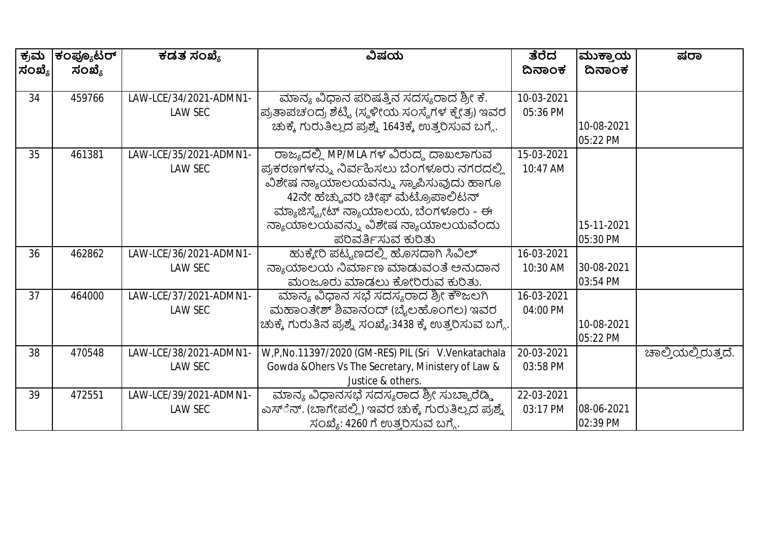| ಕ್ರಮ   | ಕಂಪ್ಯೂಟರ್ | ಕಡತ ಸಂಖ್ಯೆ             | ವಿಷಯ                                                     | ತೆರೆದ      | ಮುಕ್ತಾಯ    | ಷರಾ                 |
|--------|-----------|------------------------|----------------------------------------------------------|------------|------------|---------------------|
| ಸಂಖ್ಯೆ | ಸಂಖ್ಯೆ    |                        |                                                          | ದಿನಾಂಕ     | ದಿನಾಂಕ     |                     |
|        |           |                        |                                                          |            |            |                     |
| 34     | 459766    | LAW-LCE/34/2021-ADMN1- | ಮಾನ್ಯ ವಿಧಾನ ಪರಿಷತ್ತಿನ ಸದಸ್ಯರಾದ ಶ್ರೀ ಕೆ.                  | 10-03-2021 |            |                     |
|        |           | LAW SEC                | ಪ್ರತಾಪಚಂದ್ರ ಶೆಟ್ಟಿ (ಸ್ಥಳೀಯ ಸಂಸ್ಥೆಗಳ ಕ್ಷೇತ್ರ) ಇವರ         | 05:36 PM   |            |                     |
|        |           |                        | ಚುಕ್ಕೆ ಗುರುತಿಲ್ಲದ ಪ್ರಶ್ನೆ 1643ಕ್ಕೆ ಉತ್ತರಿಸುವ ಬಗ್ಗೆ.      |            | 10-08-2021 |                     |
|        |           |                        |                                                          |            | 05:22 PM   |                     |
| 35     | 461381    | LAW-LCE/35/2021-ADMN1- | ರಾಜ್ಯದಲ್ಲಿ MP/MLA ಗಳ ವಿರುದ್ಧ ದಾಖಲಾಗುವ                    | 15-03-2021 |            |                     |
|        |           | LAW SEC                | ಪ್ರಕರಣಗಳನ್ನು ನಿರ್ವಹಿಸಲು ಬೆಂಗಳೂರು ನಗರದಲ್ಲಿ                | 10:47 AM   |            |                     |
|        |           |                        | ವಿಶೇಷ ನ್ಯಾಯಾಲಯವನ್ನು ಸ್ಥಾಪಿಸುವುದು ಹಾಗೂ                    |            |            |                     |
|        |           |                        | 42ನೇ ಹೆಚ್ಚುವರಿ ಚೀಫ್ ಮೆಟ್ರೊಪಾಲಿಟನ್                        |            |            |                     |
|        |           |                        | ಮ್ಯಾಜಿಸ್ಟ್ರೇಟ್ ನ್ಯಾಯಾಲಯ, ಬೆಂಗಳೂರು – ಈ                    |            |            |                     |
|        |           |                        | ನ್ಯಾಯಾಲಯವನ್ನು ವಿಶೇಷ ನ್ಯಾಯಾಲಯವೆಂದು                        |            | 15-11-2021 |                     |
|        |           |                        | ಪರಿವರ್ತಿಸುವ ಕುರಿತು                                       |            | 05:30 PM   |                     |
| 36     | 462862    | LAW-LCE/36/2021-ADMN1- | ಹುಕ್ಕೇರಿ ಪಟ್ಟಣದಲ್ಲಿ ಹೊಸದಾಗಿ ಸಿವಿಲ್                       | 16-03-2021 |            |                     |
|        |           | LAW SEC                | ನ್ಯಾಯಾಲಯ ನಿರ್ಮಾಣ ಮಾಡುವಂತೆ ಅನುದಾನ                         | 10:30 AM   | 30-08-2021 |                     |
|        |           |                        | ಮಂಜೂರು ಮಾಡಲು ಕೋರಿರುವ ಕುರಿತು.                             |            | 03:54 PM   |                     |
| 37     | 464000    | LAW-LCE/37/2021-ADMN1- | ಮಾನ್ಯ ವಿಧಾನ ಸಭೆ ಸದಸ್ಯರಾದ ಶ್ರೀ ಕೌಜಲಗಿ                     | 16-03-2021 |            |                     |
|        |           | LAW SEC                | ಮಹಾಂತೇಶ್ ಶಿವಾನಂದ್ (ಬೈಲಹೊಂಗಲ) ಇವರ                         | 04:00 PM   |            |                     |
|        |           |                        | ಚುಕ್ಕೆ ಗುರುತಿನ ಪ್ರಶ್ನೆ ಸಂಖ್ಯೆ:3438 ಕ್ಕೆ ಉತ್ತರಿಸುವ ಬಗ್ಗೆ. |            | 10-08-2021 |                     |
|        |           |                        |                                                          |            | 05:22 PM   |                     |
| 38     | 470548    | LAW-LCE/38/2021-ADMN1- | W,P,No.11397/2020 (GM-RES) PIL (Sri V.Venkatachala       | 20-03-2021 |            | ಚಾಲ್ತಿಯಲ್ಲಿರುತ್ತದೆ. |
|        |           | LAW SEC                | Gowda & Ohers Vs The Secretary, Ministery of Law &       | 03:58 PM   |            |                     |
|        |           |                        | Justice & others.                                        |            |            |                     |
| 39     | 472551    | LAW-LCE/39/2021-ADMN1- | ಮಾನ್ಯ ವಿಧಾನಸಭೆ ಸದಸ್ಯರಾದ ಶ್ರೀ ಸುಬ್ಬಾರೆಡ್ಡಿ                | 22-03-2021 |            |                     |
|        |           | LAW SEC                | ಎಸ್ೆನ್. (ಬಾಗೇಪಲ್ಲಿ) ಇವರ ಚುಕ್ಕೆ ಗುರುತಿಲ್ಲದ ಪ್ರಶ್ನೆ        | 03:17 PM   | 08-06-2021 |                     |
|        |           |                        | ಸಂಖ್ಯೆ: 4260 ಗೆ ಉತ್ತರಿಸುವ ಬಗ್ಗೆ.                         |            | 02:39 PM   |                     |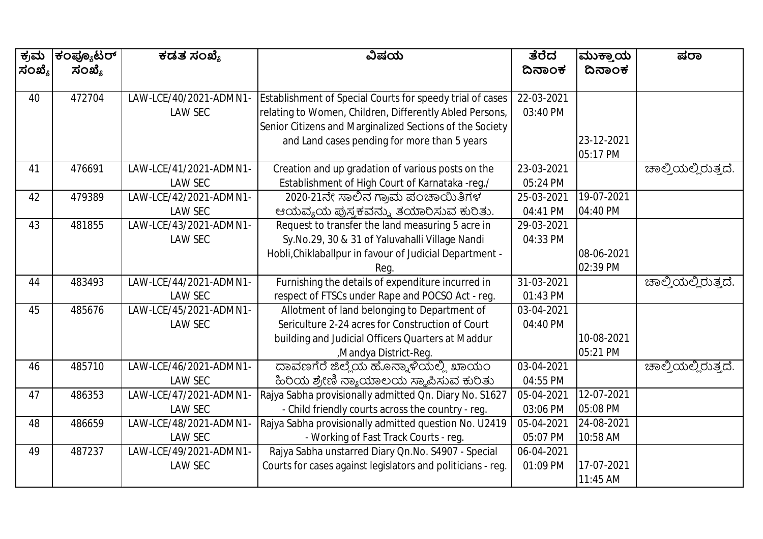| ಕ್ರಮ   | ಕಂಪ್ಯೂಟರ್ | ಕಡತ ಸಂಖ್ಯೆ             | ವಿಷಯ                                                        | ತೆರೆದ      | ಮುಕ್ತಾಯ    | ಷರಾ                         |
|--------|-----------|------------------------|-------------------------------------------------------------|------------|------------|-----------------------------|
| ಸಂಖ್ಯೆ | ಸಂಖ್ಯೆ    |                        |                                                             | ದಿನಾಂಕ     | ದಿನಾಂಕ     |                             |
|        |           |                        |                                                             |            |            |                             |
| 40     | 472704    | LAW-LCE/40/2021-ADMN1  | Establishment of Special Courts for speedy trial of cases   | 22-03-2021 |            |                             |
|        |           | <b>LAW SEC</b>         | relating to Women, Children, Differently Abled Persons,     | 03:40 PM   |            |                             |
|        |           |                        | Senior Citizens and Marginalized Sections of the Society    |            |            |                             |
|        |           |                        | and Land cases pending for more than 5 years                |            | 23-12-2021 |                             |
|        |           |                        |                                                             |            | 05:17 PM   |                             |
| 41     | 476691    | LAW-LCE/41/2021-ADMN1- | Creation and up gradation of various posts on the           | 23-03-2021 |            | ಚಾಲ್ತಿಯಲ್ಲಿರುತ್ತದೆ.         |
|        |           | <b>LAW SEC</b>         | Establishment of High Court of Karnataka -reg./             | 05:24 PM   |            |                             |
| 42     | 479389    | LAW-LCE/42/2021-ADMN1- | 2020-21ನೇ ಸಾಲಿನ ಗ್ರಾಮ ಪಂಚಾಯಿತಿಗಳ                            | 25-03-2021 | 19-07-2021 |                             |
|        |           | <b>LAW SEC</b>         | ಆಯವ್ಯಯ ಪುಸ್ತಕವನ್ನು ತಯಾರಿಸುವ ಕುರಿತು.                         | 04:41 PM   | 04:40 PM   |                             |
| 43     | 481855    | LAW-LCE/43/2021-ADMN1- | Request to transfer the land measuring 5 acre in            | 29-03-2021 |            |                             |
|        |           | <b>LAW SEC</b>         | Sy.No.29, 30 & 31 of Yaluvahalli Village Nandi              | 04:33 PM   |            |                             |
|        |           |                        | Hobli, Chiklaballpur in favour of Judicial Department -     |            | 08-06-2021 |                             |
|        |           |                        | Rea.                                                        |            | 02:39 PM   |                             |
| 44     | 483493    | LAW-LCE/44/2021-ADMN1- | Furnishing the details of expenditure incurred in           | 31-03-2021 |            | ಚಾಲ್ತಿಯಲ್ಲಿರುತ್ತದೆ.         |
|        |           | <b>LAW SEC</b>         | respect of FTSCs under Rape and POCSO Act - reg.            | 01:43 PM   |            |                             |
| 45     | 485676    | LAW-LCE/45/2021-ADMN1- | Allotment of land belonging to Department of                | 03-04-2021 |            |                             |
|        |           | LAW SEC                | Sericulture 2-24 acres for Construction of Court            | 04:40 PM   |            |                             |
|        |           |                        | building and Judicial Officers Quarters at Maddur           |            | 10-08-2021 |                             |
|        |           |                        | ,Mandya District-Req.                                       |            | 05:21 PM   |                             |
| 46     | 485710    | LAW-LCE/46/2021-ADMN1- | ದಾವಣಗೆರೆ ಜಿಲ್ಲೆಯ ಹೊನ್ನಾಳಿಯಲ್ಲಿ ಖಾಯಂ                         | 03-04-2021 |            | <u>ಚಾಲ್ತಿಯಲ್ಲಿ</u> ರುತ್ತದೆ. |
|        |           | <b>LAW SEC</b>         | ಹಿರಿಯ ಶ್ರೇಣಿ ನ್ಯಾಯಾಲಯ ಸ್ಥಾಪಿಸುವ ಕುರಿತು                      | 04:55 PM   |            |                             |
| 47     | 486353    | LAW-LCE/47/2021-ADMN1  | Rajya Sabha provisionally admitted Qn. Diary No. S1627      | 05-04-2021 | 12-07-2021 |                             |
|        |           | <b>LAW SEC</b>         | - Child friendly courts across the country - reg.           | 03:06 PM   | 05:08 PM   |                             |
| 48     | 486659    | LAW-LCE/48/2021-ADMN1  | Rajya Sabha provisionally admitted question No. U2419       | 05-04-2021 | 24-08-2021 |                             |
|        |           | <b>LAW SEC</b>         | - Working of Fast Track Courts - reg.                       | 05:07 PM   | 10:58 AM   |                             |
| 49     | 487237    | LAW-LCE/49/2021-ADMN1- | Rajya Sabha unstarred Diary Qn.No. S4907 - Special          | 06-04-2021 |            |                             |
|        |           | <b>LAW SEC</b>         | Courts for cases against legislators and politicians - reg. | 01:09 PM   | 17-07-2021 |                             |
|        |           |                        |                                                             |            | 11:45 AM   |                             |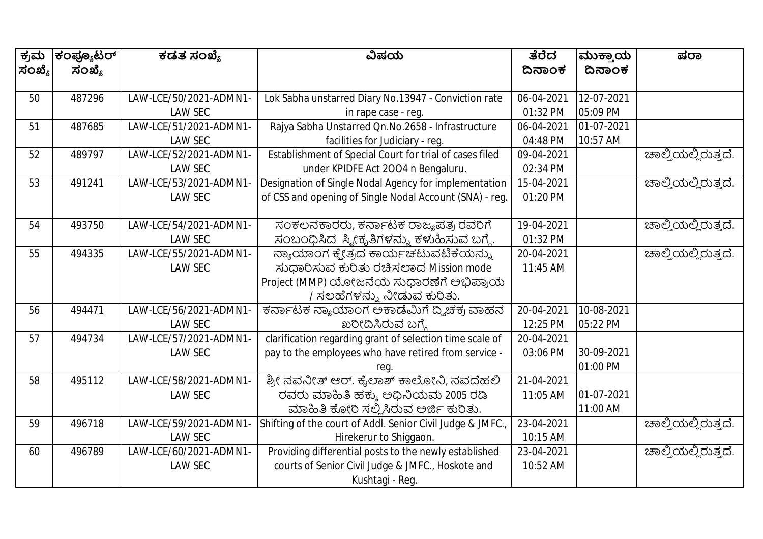| ಕ್ರಮ   | ಕಂಪ್ಯೂಟರ್ | ಕಡತ ಸಂಖ್ಯೆ             | ವಿಷಯ                                                       | ತೆರೆದ      | ಮುಕ್ತಾಯ    | ಷರಾ                         |
|--------|-----------|------------------------|------------------------------------------------------------|------------|------------|-----------------------------|
| ಸಂಖ್ಯೆ | ಸಂಖ್ಯೆ    |                        |                                                            | ದಿನಾಂಕ     | ದಿನಾಂಕ     |                             |
|        |           |                        |                                                            |            |            |                             |
| 50     | 487296    | LAW-LCE/50/2021-ADMN1- | Lok Sabha unstarred Diary No.13947 - Conviction rate       | 06-04-2021 | 12-07-2021 |                             |
|        |           | <b>LAW SEC</b>         | in rape case - reg.                                        | 01:32 PM   | 05:09 PM   |                             |
| 51     | 487685    | LAW-LCE/51/2021-ADMN1- | Rajya Sabha Unstarred Qn.No.2658 - Infrastructure          | 06-04-2021 | 01-07-2021 |                             |
|        |           | <b>LAW SEC</b>         | facilities for Judiciary - reg.                            | 04:48 PM   | 10:57 AM   |                             |
| 52     | 489797    | LAW-LCE/52/2021-ADMN1- | Establishment of Special Court for trial of cases filed    | 09-04-2021 |            | <u> ಚಾಲ್ತಿಯಲ್ಲಿರುತ್ತದೆ.</u> |
|        |           | <b>LAW SEC</b>         | under KPIDFE Act 2004 n Bengaluru.                         | 02:34 PM   |            |                             |
| 53     | 491241    | LAW-LCE/53/2021-ADMN1- | Designation of Single Nodal Agency for implementation      | 15-04-2021 |            | ಚಾಲ್ತಿಯಲ್ಲಿರುತ್ತದೆ.         |
|        |           | LAW SEC                | of CSS and opening of Single Nodal Account (SNA) - reg.    | 01:20 PM   |            |                             |
|        |           |                        |                                                            |            |            |                             |
| 54     | 493750    | LAW-LCE/54/2021-ADMN1- | ಸಂಕಲನಕಾರರು, ಕರ್ನಾಟಕ ರಾಜ್ಯಪತ್ರ ರವರಿಗೆ                       | 19-04-2021 |            | ಚಾಲ್ತಿಯಲ್ಲಿರುತ್ತದೆ.         |
|        |           | <b>LAW SEC</b>         | ಸಂಬಂಧಿಸಿದ ಸ್ಕೀಕೃತಿಗಳನ್ನು ಕಳುಹಿಸುವ ಬಗ್ಗೆ.                   | 01:32 PM   |            |                             |
| 55     | 494335    | LAW-LCE/55/2021-ADMN1- | ನ್ಯಾಯಾಂಗ ಕ್ಷ್ರೇತ್ರದ ಕಾರ್ಯಚಟುವಟಿಕೆಯನ್ನು                     | 20-04-2021 |            | ಚಾಲ್ತಿಯಲ್ಲಿರುತ್ತದೆ.         |
|        |           | <b>LAW SEC</b>         | ಸುಧಾರಿಸುವ ಕುರಿತು ರಚಿಸಲಾದ Mission mode                      | 11:45 AM   |            |                             |
|        |           |                        | Project (MMP) ಯೋಜನೆಯ ಸುಧಾರಣೆಗೆ ಅಭಿಪ್ರಾಯ                    |            |            |                             |
|        |           |                        | / ಸಲಹೆಗಳನ್ನು ನೀಡುವ ಕುರಿತು.                                 |            |            |                             |
| 56     | 494471    | LAW-LCE/56/2021-ADMN1- | ಕರ್ನಾಟಕ ನ್ಯಾಯಾಂಗ ಅಕಾಡೆಮಿಗೆ ದ್ವಿಚಕ್ರ ವಾಹನ                   | 20-04-2021 | 10-08-2021 |                             |
|        |           | <b>LAW SEC</b>         | ಖರೀದಿಸಿರುವ ಬಗ್ಗೆ                                           | 12:25 PM   | 05:22 PM   |                             |
| 57     | 494734    | LAW-LCE/57/2021-ADMN1- | clarification regarding grant of selection time scale of   | 20-04-2021 |            |                             |
|        |           | <b>LAW SEC</b>         | pay to the employees who have retired from service -       | 03:06 PM   | 30-09-2021 |                             |
|        |           |                        | reg.                                                       |            | 01:00 PM   |                             |
| 58     | 495112    | LAW-LCE/58/2021-ADMN1- | ಶ್ರೀ ನವನೀತ್ ಆರ್. ಕೈಲಾಶ್ ಕಾಲೋನಿ, ನವದೆಹಲಿ                    | 21-04-2021 |            |                             |
|        |           | <b>LAW SEC</b>         | ರವರು ಮಾಹಿತಿ ಹಕ್ಕು ಅಧಿನಿಯಮ 2005 ರಡಿ                         | 11:05 AM   | 01-07-2021 |                             |
|        |           |                        | ಮಾಹಿತಿ ಕೋರಿ ಸಲ್ಲಿಸಿರುವ ಅರ್ಜಿ ಕುರಿತು.                       |            | 11:00 AM   |                             |
| 59     | 496718    | LAW-LCE/59/2021-ADMN1  | Shifting of the court of Addl. Senior Civil Judge & JMFC., | 23-04-2021 |            | ಚಾಲ್ತಿಯಲ್ಲಿರುತ್ತದೆ.         |
|        |           | <b>LAW SEC</b>         | Hirekerur to Shiggaon.                                     | 10:15 AM   |            |                             |
| 60     | 496789    | LAW-LCE/60/2021-ADMN1- | Providing differential posts to the newly established      | 23-04-2021 |            | ಚಾಲ್ತಿಯಲ್ಲಿರುತ್ತದೆ.         |
|        |           | <b>LAW SEC</b>         | courts of Senior Civil Judge & JMFC., Hoskote and          | 10:52 AM   |            |                             |
|        |           |                        | Kushtagi - Reg.                                            |            |            |                             |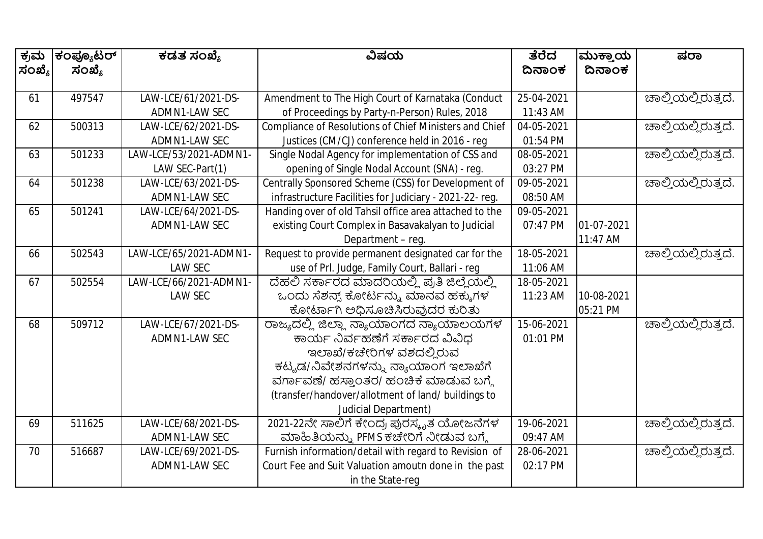| ಕ್ರಮ   | ಕಂಪ್ಯೂಟರ್ | ಕಡತ ಸಂಖ್ಯೆ             | ವಿಷಯ                                                   | ತೆರೆದ      | ಮುಕ್ತಾಯ    | ಷರಾ                 |
|--------|-----------|------------------------|--------------------------------------------------------|------------|------------|---------------------|
| ಸಂಖ್ಯೆ | ಸಂಖ್ಯೆ    |                        |                                                        | ದಿನಾಂಕ     | ದಿನಾಂಕ     |                     |
|        |           |                        |                                                        |            |            |                     |
| 61     | 497547    | LAW-LCE/61/2021-DS-    | Amendment to The High Court of Karnataka (Conduct      | 25-04-2021 |            | ಚಾಲ್ಕಿಯಲ್ಲಿರುತ್ತದೆ. |
|        |           | ADMN1-LAW SEC          | of Proceedings by Party-n-Person) Rules, 2018          | 11:43 AM   |            |                     |
| 62     | 500313    | LAW-LCE/62/2021-DS-    | Compliance of Resolutions of Chief Ministers and Chief | 04-05-2021 |            | ಚಾಲ್ತಿಯಲ್ಲಿರುತ್ತದೆ. |
|        |           | ADMN1-LAW SEC          | Justices (CM/CJ) conference held in 2016 - reg         | 01:54 PM   |            |                     |
| 63     | 501233    | LAW-LCE/53/2021-ADMN1- | Single Nodal Agency for implementation of CSS and      | 08-05-2021 |            | ಚಾಲ್ತಿಯಲ್ಲಿರುತ್ತದೆ. |
|        |           | LAW SEC-Part(1)        | opening of Single Nodal Account (SNA) - reg.           | 03:27 PM   |            |                     |
| 64     | 501238    | LAW-LCE/63/2021-DS-    | Centrally Sponsored Scheme (CSS) for Development of    | 09-05-2021 |            | ಚಾಲ್ತಿಯಲ್ಲಿರುತ್ತದೆ. |
|        |           | ADMN1-LAW SEC          | infrastructure Facilities for Judiciary - 2021-22-reg. | 08:50 AM   |            |                     |
| 65     | 501241    | LAW-LCE/64/2021-DS-    | Handing over of old Tahsil office area attached to the | 09-05-2021 |            |                     |
|        |           | ADMN1-LAW SEC          | existing Court Complex in Basavakalyan to Judicial     | 07:47 PM   | 01-07-2021 |                     |
|        |           |                        | Department - reg.                                      |            | 11:47 AM   |                     |
| 66     | 502543    | LAW-LCE/65/2021-ADMN1- | Request to provide permanent designated car for the    | 18-05-2021 |            | ಚಾಲ್ತಿಯಲ್ಲಿರುತ್ತದೆ. |
|        |           | <b>LAW SEC</b>         | use of Prl. Judge, Family Court, Ballari - reg         | 11:06 AM   |            |                     |
| 67     | 502554    | LAW-LCE/66/2021-ADMN1- | ದೆಹಲಿ ಸರ್ಕಾರದ ಮಾದರಿಯಲ್ಲಿ ಪ್ರತಿ ಜಿಲ್ಲೆಯಲ್ಲಿ             | 18-05-2021 |            |                     |
|        |           | <b>LAW SEC</b>         | ಒಂದು ಸೆಶನ್ನ್ ಕೋರ್ಟನ್ನು ಮಾನವ ಹಕ್ಕುಗಳ                    | 11:23 AM   | 10-08-2021 |                     |
|        |           |                        | ಕೋರ್ಟಾಗಿ ಅಧಿಸೂಚಿಸಿರುವುದರ ಕುರಿತು                        |            | 05:21 PM   |                     |
| 68     | 509712    | LAW-LCE/67/2021-DS-    | ರಾಜ್ಯದಲ್ಲಿ ಜಿಲ್ಲಾ ನ್ಯಾಯಾಂಗದ ನ್ಯಾಯಾಲಯಗಳ                 | 15-06-2021 |            | ಚಾಲ್ಕಿಯಲ್ಲಿರುತ್ತದೆ. |
|        |           | ADMN1-LAW SEC          | ಕಾರ್ಯ ನಿರ್ವಹಣೆಗೆ ಸರ್ಕಾರದ ವಿವಿಧ                         | 01:01 PM   |            |                     |
|        |           |                        | ಇಲಾಖೆ/ಕಚೇರಿಗಳ ವಶದಲ್ಲಿರುವ                               |            |            |                     |
|        |           |                        | ಕಟ್ಟಡ/ನಿವೇಶನಗಳನ್ನು ನ್ಯಾಯಾಂಗ ಇಲಾಖೆಗೆ                    |            |            |                     |
|        |           |                        | ವರ್ಗಾವಣೆ/ ಹಸ್ತಾಂತರ/ ಹಂಚಿಕೆ ಮಾಡುವ ಬಗ್ಗೆ                 |            |            |                     |
|        |           |                        | (transfer/handover/allotment of land/ buildings to     |            |            |                     |
|        |           |                        | <b>Judicial Department)</b>                            |            |            |                     |
| 69     | 511625    | LAW-LCE/68/2021-DS-    | 2021-22ನೇ ಸಾಲಿಗೆ ಕೇಂದ್ರ ಪುರಸ್ಕೃತ ಯೋಜನೆಗಳ               | 19-06-2021 |            | ಚಾಲ್ತಿಯಲ್ಲಿರುತ್ತದೆ. |
|        |           | ADMN1-LAW SEC          | ಮಾಹಿತಿಯನ್ನು PFMS ಕಚೇರಿಗೆ ನೀಡುವ ಬಗ್ಗೆ                   | 09:47 AM   |            |                     |
| 70     | 516687    | LAW-LCE/69/2021-DS-    | Furnish information/detail with regard to Revision of  | 28-06-2021 |            | ಚಾಲ್ತಿಯಲ್ಲಿರುತ್ತದೆ. |
|        |           | ADMN1-LAW SEC          | Court Fee and Suit Valuation amoutn done in the past   | 02:17 PM   |            |                     |
|        |           |                        | in the State-reg                                       |            |            |                     |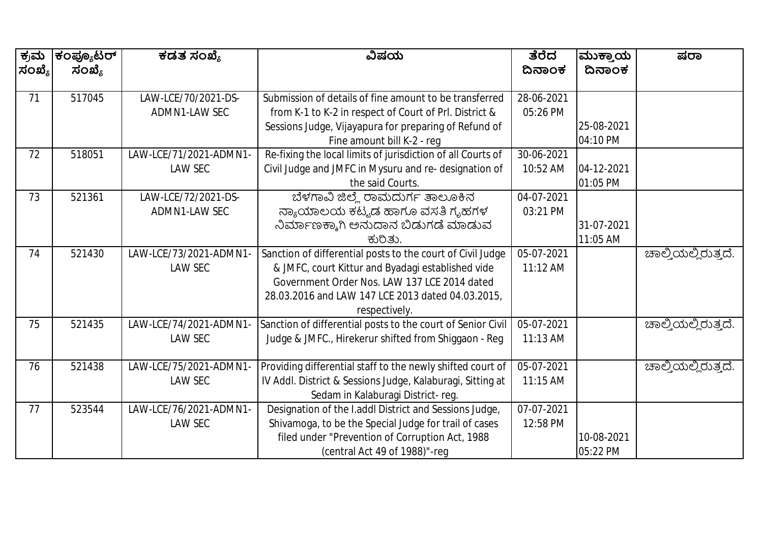| ಕ್ರಮ   | ಕಂಪ್ಯೂಟರ್ | ಕಡತ ಸಂಖ್ಯೆ             | ವಿಷಯ                                                        | ತೆರೆದ      | ಮುಕ್ತಾಯ    | ಷರಾ                 |
|--------|-----------|------------------------|-------------------------------------------------------------|------------|------------|---------------------|
| ಸಂಖ್ಯೆ | ಸಂಖ್ಯೆ    |                        |                                                             | ದಿನಾಂಕ     | ದಿನಾಂಕ     |                     |
|        |           |                        |                                                             |            |            |                     |
| 71     | 517045    | LAW-LCE/70/2021-DS-    | Submission of details of fine amount to be transferred      | 28-06-2021 |            |                     |
|        |           | ADMN1-LAW SEC          | from K-1 to K-2 in respect of Court of Prl. District &      | 05:26 PM   |            |                     |
|        |           |                        | Sessions Judge, Vijayapura for preparing of Refund of       |            | 25-08-2021 |                     |
|        |           |                        | Fine amount bill K-2 - reg                                  |            | 04:10 PM   |                     |
| 72     | 518051    | LAW-LCE/71/2021-ADMN1- | Re-fixing the local limits of jurisdiction of all Courts of | 30-06-2021 |            |                     |
|        |           | <b>LAW SEC</b>         | Civil Judge and JMFC in Mysuru and re- designation of       | 10:52 AM   | 04-12-2021 |                     |
|        |           |                        | the said Courts.                                            |            | 01:05 PM   |                     |
| 73     | 521361    | LAW-LCE/72/2021-DS-    | ಬೆಳಗಾವಿ ಜಿಲ್ಲೆ ರಾಮದುರ್ಗ ತಾಲೂಕಿನ                             | 04-07-2021 |            |                     |
|        |           | ADMN1-LAW SEC          | ನ್ಯಾಯಾಲಯ ಕಟ್ಟಡ ಹಾಗೂ ವಸತಿ ಗೃಹಗಳ                              | 03:21 PM   |            |                     |
|        |           |                        | ನಿರ್ಮಾಣಕ್ಕಾಗಿ ಅನುದಾನ ಬಿಡುಗಡೆ ಮಾಡುವ                          |            | 31-07-2021 |                     |
|        |           |                        | ಕುರಿತು.                                                     |            | 11:05 AM   |                     |
| 74     | 521430    | LAW-LCE/73/2021-ADMN1- | Sanction of differential posts to the court of Civil Judge  | 05-07-2021 |            | ಚಾಲ್ತಿಯಲ್ಲಿರುತ್ತದೆ. |
|        |           | <b>LAW SEC</b>         | & JMFC, court Kittur and Byadagi established vide           | 11:12 AM   |            |                     |
|        |           |                        | Government Order Nos. LAW 137 LCE 2014 dated                |            |            |                     |
|        |           |                        | 28.03.2016 and LAW 147 LCE 2013 dated 04.03.2015,           |            |            |                     |
|        |           |                        | respectively.                                               |            |            |                     |
| 75     | 521435    | LAW-LCE/74/2021-ADMN1- | Sanction of differential posts to the court of Senior Civil | 05-07-2021 |            | ಚಾಲ್ತಿಯಲ್ಲಿರುತ್ತದೆ. |
|        |           | <b>LAW SEC</b>         | Judge & JMFC., Hirekerur shifted from Shiggaon - Reg        | 11:13 AM   |            |                     |
|        |           |                        |                                                             |            |            |                     |
| 76     | 521438    | LAW-LCE/75/2021-ADMN1- | Providing differential staff to the newly shifted court of  | 05-07-2021 |            | ಚಾಲ್ತಿಯಲ್ಲಿರುತ್ತದೆ. |
|        |           | <b>LAW SEC</b>         | IV Addl. District & Sessions Judge, Kalaburagi, Sitting at  | 11:15 AM   |            |                     |
|        |           |                        | Sedam in Kalaburagi District-reg.                           |            |            |                     |
| 77     | 523544    | LAW-LCE/76/2021-ADMN1- | Designation of the I.addl District and Sessions Judge,      | 07-07-2021 |            |                     |
|        |           | <b>LAW SEC</b>         | Shivamoga, to be the Special Judge for trail of cases       | 12:58 PM   |            |                     |
|        |           |                        | filed under "Prevention of Corruption Act, 1988             |            | 10-08-2021 |                     |
|        |           |                        | (central Act 49 of 1988)"-reg                               |            | 05:22 PM   |                     |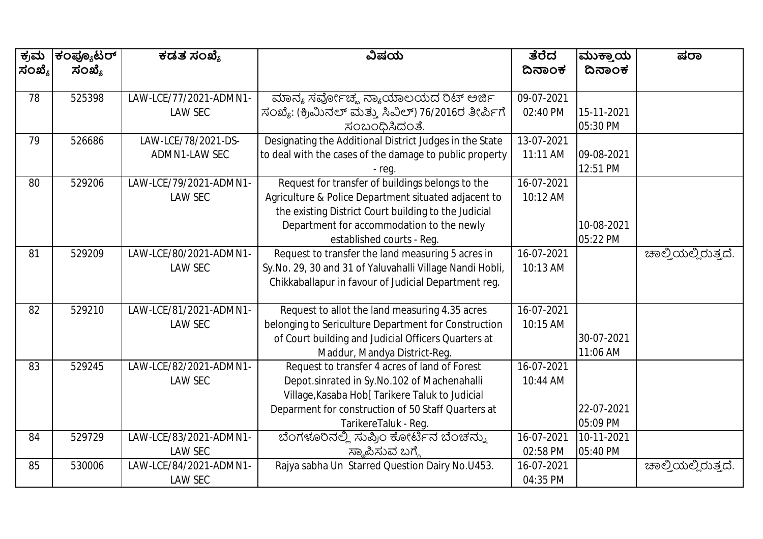| ಕ್ರಮ   | ಕಂಪ್ಯೂಟರ್ | ಕಡತ ಸಂಖ್ಯೆ             | ವಿಷಯ                                                     | ತೆರೆದ      | ಮುಕ್ತಾಯ    | ಷರಾ                 |
|--------|-----------|------------------------|----------------------------------------------------------|------------|------------|---------------------|
| ಸಂಖ್ಯೆ | ಸಂಖ್ಯೆ    |                        |                                                          | ದಿನಾಂಕ     | ದಿನಾಂಕ     |                     |
|        |           |                        |                                                          |            |            |                     |
| 78     | 525398    | LAW-LCE/77/2021-ADMN1- | ಮಾನ್ಯ ಸರ್ವೋಚ್ಮ ನ್ಯಾಯಾಲಯದ ರಿಟ್ ಅರ್ಜಿ                      | 09-07-2021 |            |                     |
|        |           | <b>LAW SEC</b>         | ಸಂಖ್ಯೆ: (ಕ್ರಿಮಿನಲ್ ಮತ್ತು ಸಿವಿಲ್) 76/2016ರ ತೀರ್ಪಿಗೆ       | 02:40 PM   | 15-11-2021 |                     |
|        |           |                        | ಸಂಬಂಧಿಸಿದಂತೆ.                                            |            | 05:30 PM   |                     |
| 79     | 526686    | LAW-LCE/78/2021-DS-    | Designating the Additional District Judges in the State  | 13-07-2021 |            |                     |
|        |           | ADMN1-LAW SEC          | to deal with the cases of the damage to public property  | 11:11 AM   | 09-08-2021 |                     |
|        |           |                        | - reg.                                                   |            | 12:51 PM   |                     |
| 80     | 529206    | LAW-LCE/79/2021-ADMN1- | Request for transfer of buildings belongs to the         | 16-07-2021 |            |                     |
|        |           | <b>LAW SEC</b>         | Agriculture & Police Department situated adjacent to     | 10:12 AM   |            |                     |
|        |           |                        | the existing District Court building to the Judicial     |            |            |                     |
|        |           |                        | Department for accommodation to the newly                |            | 10-08-2021 |                     |
|        |           |                        | established courts - Reg.                                |            | 05:22 PM   |                     |
| 81     | 529209    | LAW-LCE/80/2021-ADMN1- | Request to transfer the land measuring 5 acres in        | 16-07-2021 |            | ಚಾಲ್ತಿಯಲ್ಲಿರುತ್ತದೆ. |
|        |           | <b>LAW SEC</b>         | Sy.No. 29, 30 and 31 of Yaluvahalli Village Nandi Hobli, | 10:13 AM   |            |                     |
|        |           |                        | Chikkaballapur in favour of Judicial Department reg.     |            |            |                     |
|        |           |                        |                                                          |            |            |                     |
| 82     | 529210    | LAW-LCE/81/2021-ADMN1- | Request to allot the land measuring 4.35 acres           | 16-07-2021 |            |                     |
|        |           | <b>LAW SEC</b>         | belonging to Sericulture Department for Construction     | 10:15 AM   |            |                     |
|        |           |                        | of Court building and Judicial Officers Quarters at      |            | 30-07-2021 |                     |
|        |           |                        | Maddur, Mandya District-Reg.                             |            | 11:06 AM   |                     |
| 83     | 529245    | LAW-LCE/82/2021-ADMN1- | Request to transfer 4 acres of land of Forest            | 16-07-2021 |            |                     |
|        |           | <b>LAW SEC</b>         | Depot.sinrated in Sy.No.102 of Machenahalli              | 10:44 AM   |            |                     |
|        |           |                        | Village, Kasaba Hob[ Tarikere Taluk to Judicial          |            |            |                     |
|        |           |                        | Deparment for construction of 50 Staff Quarters at       |            | 22-07-2021 |                     |
|        |           |                        | TarikereTaluk - Reg.                                     |            | 05:09 PM   |                     |
| 84     | 529729    | LAW-LCE/83/2021-ADMN1- | ಬೆಂಗಳೂರಿನಲ್ಲಿ ಸುಪ್ರಿಂ ಕೋರ್ಟಿನ ಬೆಂಚನ್ನು                   | 16-07-2021 | 10-11-2021 |                     |
|        |           | <b>LAW SEC</b>         | ಸ್ಮಾಪಿಸುವ ಬಗ್ಗೆ                                          | 02:58 PM   | 05:40 PM   |                     |
| 85     | 530006    | LAW-LCE/84/2021-ADMN1- | Rajya sabha Un Starred Question Dairy No.U453.           | 16-07-2021 |            | ಚಾಲ್ತಿಯಲ್ಲಿರುತ್ತದೆ. |
|        |           | <b>LAW SEC</b>         |                                                          | 04:35 PM   |            |                     |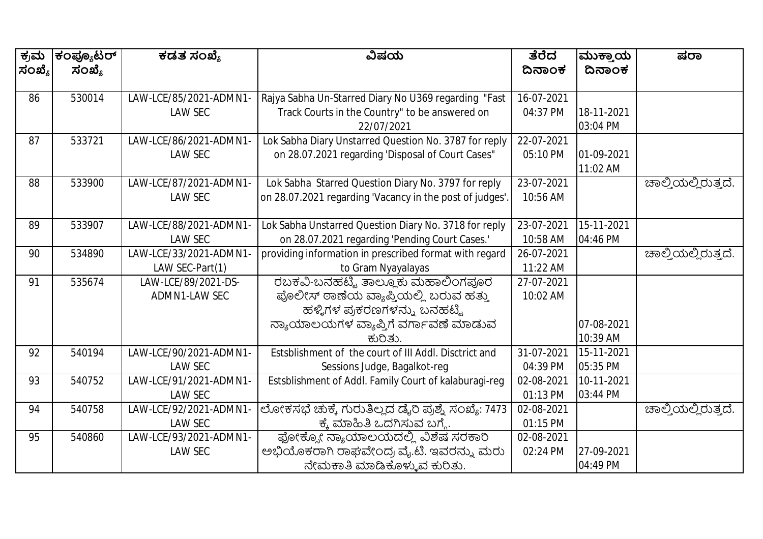| ಕ್ರಮ   | ಕಂಪ್ಯೂಟರ್ | ಕಡತ ಸಂಖ್ಯೆ             | ವಿಷಯ                                                     | ತೆರೆದ      | ಮುಕ್ತಾಯ    | ಷರಾ                 |
|--------|-----------|------------------------|----------------------------------------------------------|------------|------------|---------------------|
| ಸಂಖ್ಯೆ | ಸಂಖ್ಯೆ    |                        |                                                          | ದಿನಾಂಕ     | ದಿನಾಂಕ     |                     |
|        |           |                        |                                                          |            |            |                     |
| 86     | 530014    | LAW-LCE/85/2021-ADMN1- | Rajya Sabha Un-Starred Diary No U369 regarding "Fast     | 16-07-2021 |            |                     |
|        |           | <b>LAW SEC</b>         | Track Courts in the Country" to be answered on           | 04:37 PM   | 18-11-2021 |                     |
|        |           |                        | 22/07/2021                                               |            | 03:04 PM   |                     |
| 87     | 533721    | LAW-LCE/86/2021-ADMN1- | Lok Sabha Diary Unstarred Question No. 3787 for reply    | 22-07-2021 |            |                     |
|        |           | <b>LAW SEC</b>         | on 28.07.2021 regarding 'Disposal of Court Cases"        | 05:10 PM   | 01-09-2021 |                     |
|        |           |                        |                                                          |            | 11:02 AM   |                     |
| 88     | 533900    | LAW-LCE/87/2021-ADMN1- | Lok Sabha Starred Question Diary No. 3797 for reply      | 23-07-2021 |            | ಚಾಲ್ತಿಯಲ್ಲಿರುತ್ತದೆ. |
|        |           | <b>LAW SEC</b>         | on 28.07.2021 regarding 'Vacancy in the post of judges'. | 10:56 AM   |            |                     |
|        |           |                        |                                                          |            |            |                     |
| 89     | 533907    | LAW-LCE/88/2021-ADMN1- | Lok Sabha Unstarred Question Diary No. 3718 for reply    | 23-07-2021 | 15-11-2021 |                     |
|        |           | <b>LAW SEC</b>         | on 28.07.2021 regarding 'Pending Court Cases.'           | 10:58 AM   | 04:46 PM   |                     |
| 90     | 534890    | LAW-LCE/33/2021-ADMN1  | providing information in prescribed format with regard   | 26-07-2021 |            | ಚಾಲ್ತಿಯಲ್ಲಿರುತ್ತದೆ. |
|        |           | LAW SEC-Part(1)        | to Gram Nyayalayas                                       | 11:22 AM   |            |                     |
| 91     | 535674    | LAW-LCE/89/2021-DS-    | ರಬಕವಿ-ಬನಹಟ್ಟಿ ತಾಲ್ಲೂಕು ಮಹಾಲಿಂಗಪೂರ                        | 27-07-2021 |            |                     |
|        |           | ADMN1-LAW SEC          | ಪೊಲೀಸ್ ಠಾಣೆಯ ವ್ಯಾಪ್ತಿಯಲ್ಲಿ ಬರುವ ಹತ್ತು                    | 10:02 AM   |            |                     |
|        |           |                        | ಹಳ್ಳಿಗಳ ಪ್ರಕರಣಗಳನ್ನು ಬನಹಟ್ಟಿ                             |            |            |                     |
|        |           |                        | ನ್ಯಾಯಾಲಯಗಳ ವ್ಯಾಪ್ತಿಗೆ ವರ್ಗಾವಣೆ ಮಾಡುವ                     |            | 07-08-2021 |                     |
|        |           |                        | ಕುರಿತು.                                                  |            | 10:39 AM   |                     |
| 92     | 540194    | LAW-LCE/90/2021-ADMN1- | Estsblishment of the court of III Addl. Disctrict and    | 31-07-2021 | 15-11-2021 |                     |
|        |           | <b>LAW SEC</b>         | Sessions Judge, Bagalkot-reg                             | 04:39 PM   | 05:35 PM   |                     |
| 93     | 540752    | LAW-LCE/91/2021-ADMN1- | Estsblishment of Addl. Family Court of kalaburagi-reg    | 02-08-2021 | 10-11-2021 |                     |
|        |           | <b>LAW SEC</b>         |                                                          | 01:13 PM   | 03:44 PM   |                     |
| 94     | 540758    | LAW-LCE/92/2021-ADMN1- | ಲೋಕಸಭೆ ಚುಕ್ಕೆ ಗುರುತಿಲ್ಲದ ಡೈರಿ ಪ್ರಶ್ನೆ ಸಂಖ್ಯೆ: 7473       | 02-08-2021 |            | ಚಾಲ್ತಿಯಲ್ಲಿರುತ್ತದೆ. |
|        |           | <b>LAW SEC</b>         | ಕ್ಕೆ ಮಾಹಿತಿ ಒದಗಿಸುವ ಬಗ್ಗೆ.                               | 01:15 PM   |            |                     |
| 95     | 540860    | LAW-LCE/93/2021-ADMN1- | ಫೋಕ್ಯೋ ನ್ಯಾಯಾಲಯದಲ್ಲಿ ವಿಶೆಷ ಸರಕಾರಿ                        | 02-08-2021 |            |                     |
|        |           | <b>LAW SEC</b>         | ಅಭಿಯೊಕರಾಗಿ ರಾಘವೇಂದ್ರ ವೈ.ಟಿ. ಇವರನ್ನು ಮರು                  | 02:24 PM   | 27-09-2021 |                     |
|        |           |                        | ನೇಮಕಾತಿ ಮಾಡಿಕೊಳ್ಳುವ ಕುರಿತು.                              |            | 04:49 PM   |                     |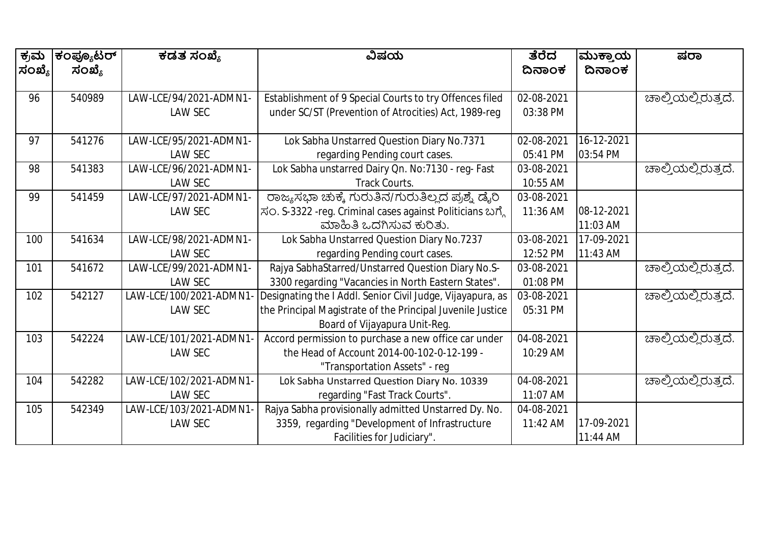| ಕ್ರಮ   | ಕಂಪ್ಯೂಟರ್ | ಕಡತ ಸಂಖ್ಯೆ              | ವಿಷಯ                                                       | ತೆರೆದ      | ಮುಕ್ತಾಯ    | ಷರಾ                 |
|--------|-----------|-------------------------|------------------------------------------------------------|------------|------------|---------------------|
| ಸಂಖ್ಯೆ | ಸಂಖ್ಯೆ    |                         |                                                            | ದಿನಾಂಕ     | ದಿನಾಂಕ     |                     |
|        |           |                         |                                                            |            |            |                     |
| 96     | 540989    | LAW-LCE/94/2021-ADMN1-  | Establishment of 9 Special Courts to try Offences filed    | 02-08-2021 |            | ಚಾಲ್ಕಿಯಲ್ಲಿರುತ್ತದೆ. |
|        |           | <b>LAW SEC</b>          | under SC/ST (Prevention of Atrocities) Act, 1989-reg       | 03:38 PM   |            |                     |
|        |           |                         |                                                            |            |            |                     |
| 97     | 541276    | LAW-LCE/95/2021-ADMN1-  | Lok Sabha Unstarred Question Diary No.7371                 | 02-08-2021 | 16-12-2021 |                     |
|        |           | LAW SEC                 | regarding Pending court cases.                             | 05:41 PM   | 03:54 PM   |                     |
| 98     | 541383    | LAW-LCE/96/2021-ADMN1-  | Lok Sabha unstarred Dairy Qn. No:7130 - reg- Fast          | 03-08-2021 |            | ಚಾಲ್ತಿಯಲ್ಲಿರುತ್ತದೆ. |
|        |           | LAW SEC                 | Track Courts.                                              | 10:55 AM   |            |                     |
| 99     | 541459    | LAW-LCE/97/2021-ADMN1-  | ರಾಜ್ಯಸಭಾ ಚುಕ್ಕೆ ಗುರುತಿನ/ಗುರುತಿಲ್ಲದ ಪ್ರಶ್ನೆ ಡೈರಿ            | 03-08-2021 |            |                     |
|        |           | <b>LAW SEC</b>          | ಸಂ. S-3322 -reg. Criminal cases against Politicians ಬಗ್ಗೆ  | 11:36 AM   | 08-12-2021 |                     |
|        |           |                         | ಮಾಹಿತಿ ಒದಗಿಸುವ ಕುರಿತು.                                     |            | 11:03 AM   |                     |
| 100    | 541634    | LAW-LCE/98/2021-ADMN1-  | Lok Sabha Unstarred Question Diary No.7237                 | 03-08-2021 | 17-09-2021 |                     |
|        |           | <b>LAW SEC</b>          | regarding Pending court cases.                             | 12:52 PM   | 11:43 AM   |                     |
| 101    | 541672    | LAW-LCE/99/2021-ADMN1-  | Rajya SabhaStarred/Unstarred Question Diary No.S-          | 03-08-2021 |            | ಚಾಲ್ತಿಯಲ್ಲಿರುತ್ತದೆ. |
|        |           | <b>LAW SEC</b>          | 3300 regarding "Vacancies in North Eastern States".        | 01:08 PM   |            |                     |
| 102    | 542127    | LAW-LCE/100/2021-ADMN1  | Designating the I Addl. Senior Civil Judge, Vijayapura, as | 03-08-2021 |            | ಚಾಲ್ತಿಯಲ್ಲಿರುತ್ತದೆ. |
|        |           | <b>LAW SEC</b>          | the Principal Magistrate of the Principal Juvenile Justice | 05:31 PM   |            |                     |
|        |           |                         | Board of Vijayapura Unit-Reg.                              |            |            |                     |
| 103    | 542224    | LAW-LCE/101/2021-ADMN1  | Accord permission to purchase a new office car under       | 04-08-2021 |            | ಚಾಲ್ತಿಯಲ್ಲಿರುತ್ತದೆ. |
|        |           | <b>LAW SEC</b>          | the Head of Account 2014-00-102-0-12-199 -                 | 10:29 AM   |            |                     |
|        |           |                         | "Transportation Assets" - reg                              |            |            |                     |
| 104    | 542282    | LAW-LCE/102/2021-ADMN1- | Lok Sabha Unstarred Question Diary No. 10339               | 04-08-2021 |            | ಚಾಲ್ತಿಯಲ್ಲಿರುತ್ತದೆ. |
|        |           | <b>LAW SEC</b>          | regarding "Fast Track Courts".                             | 11:07 AM   |            |                     |
| 105    | 542349    | LAW-LCE/103/2021-ADMN1  | Rajya Sabha provisionally admitted Unstarred Dy. No.       | 04-08-2021 |            |                     |
|        |           | <b>LAW SEC</b>          | 3359, regarding "Development of Infrastructure             | 11:42 AM   | 17-09-2021 |                     |
|        |           |                         | Facilities for Judiciary".                                 |            | 11:44 AM   |                     |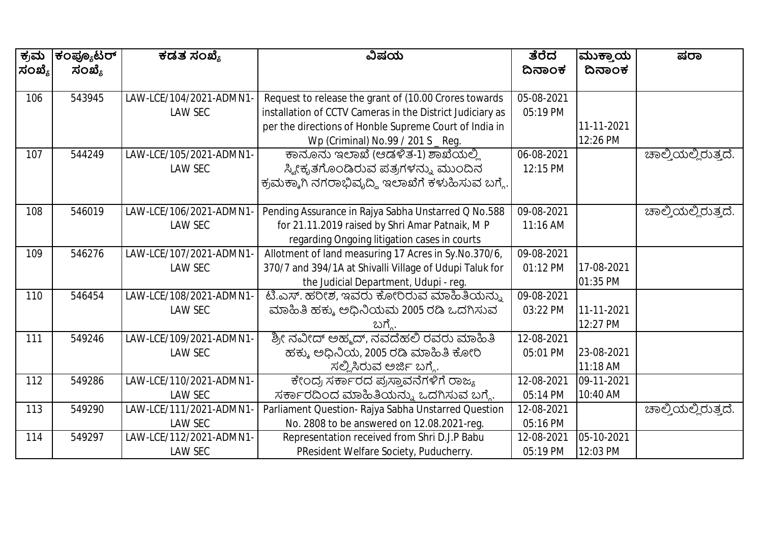| ಕ್ರಮ   | ಕಂಪ್ಯೂಟರ್ | ಕಡತ ಸಂಖ್ಯೆ              | ವಿಷಯ                                                      | ತೆರೆದ      | ಮುಕ್ತಾಯ    | ಷರಾ                 |
|--------|-----------|-------------------------|-----------------------------------------------------------|------------|------------|---------------------|
| ಸಂಖ್ಯೆ | ಸಂಖ್ಯೆ    |                         |                                                           | ದಿನಾಂಕ     | ದಿನಾಂಕ     |                     |
|        |           |                         |                                                           |            |            |                     |
| 106    | 543945    | LAW-LCE/104/2021-ADMN1  | Request to release the grant of (10.00 Crores towards     | 05-08-2021 |            |                     |
|        |           | <b>LAW SEC</b>          | installation of CCTV Cameras in the District Judiciary as | 05:19 PM   |            |                     |
|        |           |                         | per the directions of Honble Supreme Court of India in    |            | 11-11-2021 |                     |
|        |           |                         | Wp (Criminal) No.99 / 201 S _ Reg.                        |            | 12:26 PM   |                     |
| 107    | 544249    | LAW-LCE/105/2021-ADMN1- | ಕಾನೂನು ಇಲಾಖೆ (ಆಡಳಿತ-1) ಶಾಖೆಯಲ್ಲಿ                          | 06-08-2021 |            | ಚಾಲ್ತಿಯಲ್ಲಿರುತ್ತದೆ. |
|        |           | <b>LAW SEC</b>          | ಸ್ಯೀಕೃತಗೊಂಡಿರುವ ಪತ್ರಗಳನ್ನು ಮುಂದಿನ                         | 12:15 PM   |            |                     |
|        |           |                         | ಕ್ರಮಕ್ಕಾಗಿ ನಗರಾಭಿವೃದ್ಧಿ ಇಲಾಖೆಗೆ ಕಳುಹಿಸುವ ಬಗ್ಗೆ.           |            |            |                     |
|        |           |                         |                                                           |            |            |                     |
| 108    | 546019    | LAW-LCE/106/2021-ADMN1  | Pending Assurance in Rajya Sabha Unstarred Q No.588       | 09-08-2021 |            | ಚಾಲ್ತಿಯಲ್ಲಿರುತ್ತದೆ. |
|        |           | <b>LAW SEC</b>          | for 21.11.2019 raised by Shri Amar Patnaik, M P           | 11:16 AM   |            |                     |
|        |           |                         | regarding Ongoing litigation cases in courts              |            |            |                     |
| 109    | 546276    | LAW-LCE/107/2021-ADMN1  | Allotment of land measuring 17 Acres in Sy.No.370/6,      | 09-08-2021 |            |                     |
|        |           | <b>LAW SEC</b>          | 370/7 and 394/1A at Shivalli Village of Udupi Taluk for   | 01:12 PM   | 17-08-2021 |                     |
|        |           |                         | the Judicial Department, Udupi - reg.                     |            | 01:35 PM   |                     |
| 110    | 546454    | LAW-LCE/108/2021-ADMN1  | ಟಿ.ಎಸ್. ಹರೀಶ, ಇವರು ಕೋರಿರುವ ಮಾಹಿತಿಯನ್ನು                    | 09-08-2021 |            |                     |
|        |           | <b>LAW SEC</b>          | ಮಾಹಿತಿ ಹಕ್ಕು ಅಧಿನಿಯಮ 2005 ರಡಿ ಒದಗಿಸುವ                     | 03:22 PM   | 11-11-2021 |                     |
|        |           |                         | ಬಗ್ಗೆ.                                                    |            | 12:27 PM   |                     |
| 111    | 549246    | LAW-LCE/109/2021-ADMN1- | ಶ್ರೀ ನವೀದ್ ಅಹ್ಮದ್, ನವದೆಹಲಿ ರವರು ಮಾಹಿತಿ                    | 12-08-2021 |            |                     |
|        |           | <b>LAW SEC</b>          | ಹಕ್ಕು ಅಧಿನಿಯ, 2005 ರಡಿ ಮಾಹಿತಿ ಕೋರಿ                        | 05:01 PM   | 23-08-2021 |                     |
|        |           |                         | ಸಲ್ಲಿಸಿರುವ ಅರ್ಜಿ ಬಗ್ಗೆ.                                   |            | 11:18 AM   |                     |
| 112    | 549286    | LAW-LCE/110/2021-ADMN1- | ಕೇಂದ್ರ ಸರ್ಕಾರದ ಪ್ರಸ್ತಾವನೆಗಳಿಗೆ ರಾಜ್ಯ                      | 12-08-2021 | 09-11-2021 |                     |
|        |           | <b>LAW SEC</b>          | ಸರ್ಕಾರದಿಂದ ಮಾಹಿತಿಯನ್ನು ಒದಗಿಸುವ ಬಗ್ಗೆ.                     | 05:14 PM   | 10:40 AM   |                     |
| 113    | 549290    | LAW-LCE/111/2021-ADMN1  | Parliament Question- Rajya Sabha Unstarred Question       | 12-08-2021 |            | ಚಾಲ್ತಿಯಲ್ಲಿರುತ್ತದೆ. |
|        |           | <b>LAW SEC</b>          | No. 2808 to be answered on 12.08.2021-reg.                | 05:16 PM   |            |                     |
| 114    | 549297    | LAW-LCE/112/2021-ADMN1- | Representation received from Shri D.J.P Babu              | 12-08-2021 | 05-10-2021 |                     |
|        |           | <b>LAW SEC</b>          | PResident Welfare Society, Puducherry.                    | 05:19 PM   | 12:03 PM   |                     |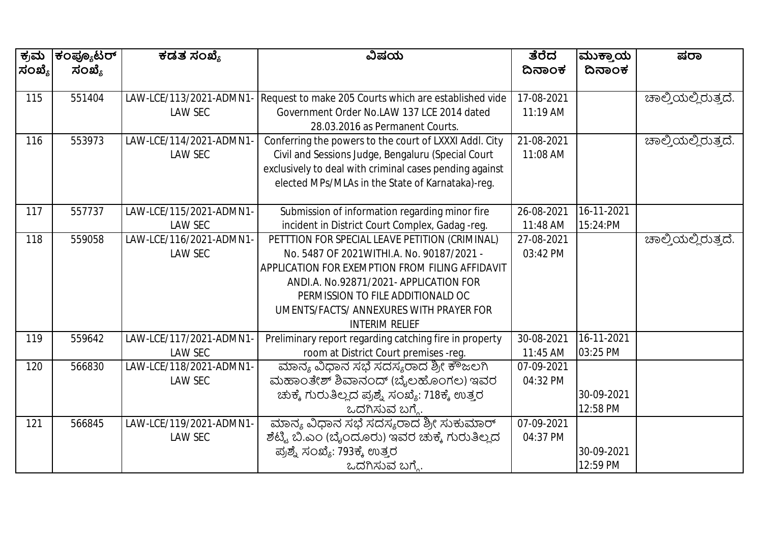| ಕ್ರಮ<br>ಸಂಖ್ಯೆ | ಕಂಪ್ಯೂಟರ್<br>ಸಂಖ್ಯೆ | ಕಡತ ಸಂಖ್ಯೆ              | ವಿಷಯ                                                    | ತೆರೆದ<br>ದಿನಾಂಕ | ಮುಕ್ತಾಯ<br>ದಿನಾಂಕ        | ಷರಾ                         |
|----------------|---------------------|-------------------------|---------------------------------------------------------|-----------------|--------------------------|-----------------------------|
|                |                     |                         |                                                         |                 |                          |                             |
| 115            | 551404              | LAW-LCE/113/2021-ADMN1  | Request to make 205 Courts which are established vide   | 17-08-2021      |                          | ಚಾಲ್ತಿಯಲ್ಲಿರುತ್ತದೆ.         |
|                |                     | <b>LAW SEC</b>          | Government Order No.LAW 137 LCE 2014 dated              | 11:19 AM        |                          |                             |
|                |                     |                         | 28.03.2016 as Permanent Courts.                         |                 |                          |                             |
| 116            | 553973              | LAW-LCE/114/2021-ADMN1  | Conferring the powers to the court of LXXXI Addl. City  | 21-08-2021      |                          | ಚಾಲ್ತಿಯಲ್ಲಿರುತ್ತದೆ.         |
|                |                     | <b>LAW SEC</b>          | Civil and Sessions Judge, Bengaluru (Special Court      | 11:08 AM        |                          |                             |
|                |                     |                         | exclusively to deal with criminal cases pending against |                 |                          |                             |
|                |                     |                         | elected MPs/MLAs in the State of Karnataka)-reg.        |                 |                          |                             |
|                |                     |                         |                                                         |                 |                          |                             |
| 117            | 557737              | LAW-LCE/115/2021-ADMN1- | Submission of information regarding minor fire          | 26-08-2021      | 16-11-2021               |                             |
|                |                     | <b>LAW SEC</b>          | incident in District Court Complex, Gadag -reg.         | 11:48 AM        | 15:24:PM                 |                             |
| 118            | 559058              | LAW-LCE/116/2021-ADMN1- | PETTTION FOR SPECIAL LEAVE PETITION (CRIMINAL)          | 27-08-2021      |                          | <u> ಚಾಲ್ತಿಯಲ್ಲಿರುತ್ತದೆ.</u> |
|                |                     | <b>LAW SEC</b>          | No. 5487 OF 2021 WITHI.A. No. 90187/2021 -              | 03:42 PM        |                          |                             |
|                |                     |                         | APPLICATION FOR EXEMPTION FROM FILING AFFIDAVIT         |                 |                          |                             |
|                |                     |                         | ANDI.A. No.92871/2021- APPLICATION FOR                  |                 |                          |                             |
|                |                     |                         | PERMISSION TO FILE ADDITIONALD OC                       |                 |                          |                             |
|                |                     |                         | UMENTS/FACTS/ ANNEXURES WITH PRAYER FOR                 |                 |                          |                             |
|                |                     |                         | <b>INTERIM RELIEF</b>                                   |                 |                          |                             |
| 119            | 559642              | LAW-LCE/117/2021-ADMN1  | Preliminary report regarding catching fire in property  | 30-08-2021      | $\overline{16}$ -11-2021 |                             |
|                |                     | <b>LAW SEC</b>          | room at District Court premises -req.                   | 11:45 AM        | 03:25 PM                 |                             |
| 120            | 566830              | LAW-LCE/118/2021-ADMN1- | ಮಾನ್ಯ ವಿಧಾನ ಸಭೆ ಸದಸ್ಯರಾದ ಶ್ರೀ ಕೌಜಲಗಿ                    | 07-09-2021      |                          |                             |
|                |                     | <b>LAW SEC</b>          | ಮಹಾಂತೇಶ್ ಶಿವಾನಂದ್ (ಬೈಲಹೊಂಗಲ) ಇವರ                        | 04:32 PM        |                          |                             |
|                |                     |                         | ಚುಕ್ಕೆ ಗುರುತಿಲ್ಲದ ಪ್ರಶ್ನೆ ಸಂಖ್ಯೆ: 718ಕ್ಕೆ ಉತ್ತರ         |                 | 30-09-2021               |                             |
|                |                     |                         | ಒದಗಿಸುವ ಬಗ್ಗೆ.                                          |                 | 12:58 PM                 |                             |
| 121            | 566845              | LAW-LCE/119/2021-ADMN1- | ಮಾನ್ಯ ವಿಧಾನ ಸಭೆ ಸದಸ್ಯರಾದ ಶ್ರೀ ಸುಕುಮಾರ್                  | 07-09-2021      |                          |                             |
|                |                     | <b>LAW SEC</b>          | ಶೆಟ್ಟಿ ಬಿ.ಎಂ (ಬೈಂದೂರು) ಇವರ ಚುಕ್ಕೆ ಗುರುತಿಲ್ಲದ            | 04:37 PM        |                          |                             |
|                |                     |                         | ಪ್ರಶ್ನೆ ಸಂಖ್ಯೆ: 793ಕ್ಕೆ ಉತ್ತರ                           |                 | 30-09-2021               |                             |
|                |                     |                         | ಒದಗಿಸುವ ಬಗ್ಗೆ.                                          |                 | 12:59 PM                 |                             |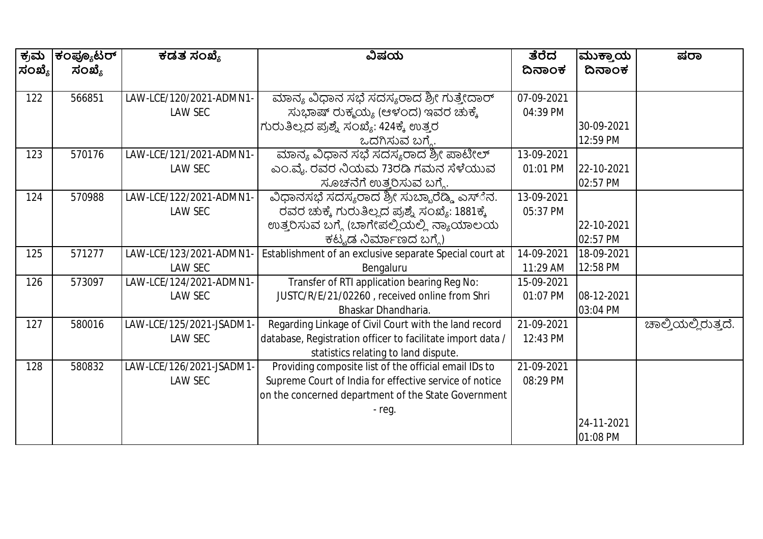| ಕ್ರಮ   | ಕಂಪ್ಯೂಟರ್ | ಕಡತ ಸಂಖ್ಯೆ               | ವಿಷಯ                                                       | ತೆರೆದ      | ಮುಕ್ತಾಯ    | ಷರಾ                 |
|--------|-----------|--------------------------|------------------------------------------------------------|------------|------------|---------------------|
| ಸಂಖ್ಯೆ | ಸಂಖ್ಯೆ    |                          |                                                            | ದಿನಾಂಕ     | ದಿನಾಂಕ     |                     |
|        |           |                          |                                                            |            |            |                     |
| 122    | 566851    | LAW-LCE/120/2021-ADMN1-  | ಮಾನ್ಯ ವಿಧಾನ ಸಭೆ ಸದಸ್ಯರಾದ ಶ್ರೀ ಗುತ್ತೇದಾರ್                   | 07-09-2021 |            |                     |
|        |           | <b>LAW SEC</b>           | ಸುಭಾಷ್ ರುಕ್ಮಯ್ಯ (ಆಳಂದ) ಇವರ ಚುಕ್ಕೆ                          | 04:39 PM   |            |                     |
|        |           |                          | ಗುರುತಿಲ್ಲದ ಪ್ರಶ್ನೆ ಸಂಖ್ಯೆ: 424ಕ್ಕೆ ಉತ್ತರ                   |            | 30-09-2021 |                     |
|        |           |                          | ಒದಗಿಸುವ ಬಗ್ಗೆ.                                             |            | 12:59 PM   |                     |
| 123    | 570176    | LAW-LCE/121/2021-ADMN1-  | ಮಾನ್ಯ ವಿಧಾನ ಸಭೆ ಸದಸ್ಯರಾದ ಶ್ರೀ ಪಾಟೀಲ್                       | 13-09-2021 |            |                     |
|        |           | <b>LAW SEC</b>           | ಎಂ.ವೈ. ರವರ ನಿಯಮ 73ರಡಿ ಗಮನ ಸೆಳೆಯುವ                          | 01:01 PM   | 22-10-2021 |                     |
|        |           |                          | ಸೂಚನೆಗೆ ಉತ್ತರಿಸುವ ಬಗ್ಯೆ.                                   |            | 02:57 PM   |                     |
| 124    | 570988    | LAW-LCE/122/2021-ADMN1-  | ವಿಧಾನಸಭೆ ಸದಸ್ಯರಾದ ಶ್ರೀ ಸುಬ್ಬಾರೆಡ್ಡಿ ಎಸ್ೆನ.                 | 13-09-2021 |            |                     |
|        |           | <b>LAW SEC</b>           | ರವರ ಚುಕ್ಕೆ ಗುರುತಿಲ್ಲದ ಪ್ರಶ್ನೆ ಸಂಖ್ಯೆ: 1881ಕ್ಕೆ             | 05:37 PM   |            |                     |
|        |           |                          | ಉತ್ತರಿಸುವ ಬಗ್ಗೆ (ಬಾಗೇಪಲ್ಲಿಯಲ್ಲಿ ನ್ಯಾಯಾಲಯ                   |            | 22-10-2021 |                     |
|        |           |                          | ಕಟ್ಟಡ ನಿರ್ಮಾಣದ ಬಗ್ಗೆ)                                      |            | 02:57 PM   |                     |
| 125    | 571277    | LAW-LCE/123/2021-ADMN1   | Establishment of an exclusive separate Special court at    | 14-09-2021 | 18-09-2021 |                     |
|        |           | <b>LAW SEC</b>           | Bengaluru                                                  | 11:29 AM   | 12:58 PM   |                     |
| 126    | 573097    | LAW-LCE/124/2021-ADMN1-  | Transfer of RTI application bearing Reg No:                | 15-09-2021 |            |                     |
|        |           | <b>LAW SEC</b>           | JUSTC/R/E/21/02260, received online from Shri              | 01:07 PM   | 08-12-2021 |                     |
|        |           |                          | Bhaskar Dhandharia.                                        |            | 03:04 PM   |                     |
| 127    | 580016    | LAW-LCE/125/2021-JSADM1  | Regarding Linkage of Civil Court with the land record      | 21-09-2021 |            | ಚಾಲ್ತಿಯಲ್ಲಿರುತ್ತದೆ. |
|        |           | <b>LAW SEC</b>           | database, Registration officer to facilitate import data / | 12:43 PM   |            |                     |
|        |           |                          | statistics relating to land dispute.                       |            |            |                     |
| 128    | 580832    | LAW-LCE/126/2021-JSADM1- | Providing composite list of the official email IDs to      | 21-09-2021 |            |                     |
|        |           | <b>LAW SEC</b>           | Supreme Court of India for effective service of notice     | 08:29 PM   |            |                     |
|        |           |                          | on the concerned department of the State Government        |            |            |                     |
|        |           |                          | - reg.                                                     |            |            |                     |
|        |           |                          |                                                            |            | 24-11-2021 |                     |
|        |           |                          |                                                            |            | 01:08 PM   |                     |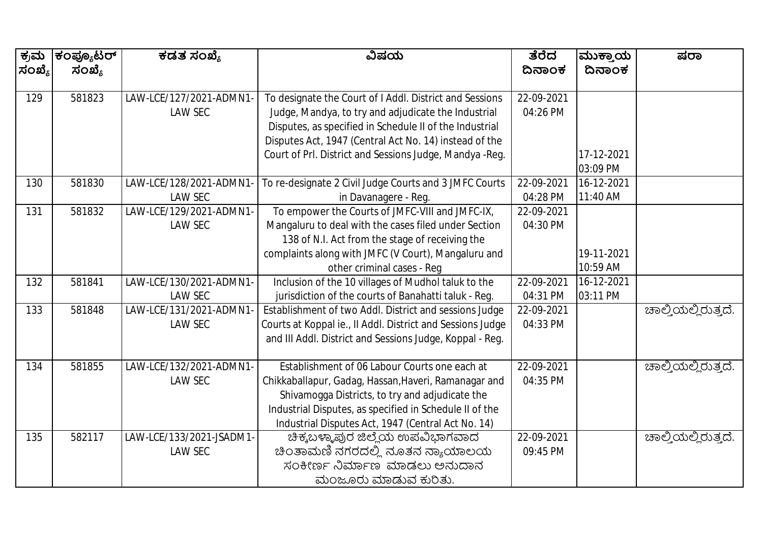| ಕ್ರಮ   | ಕಂಪ್ಯೂಟರ್ | ಕಡತ ಸಂಖ್ಯೆ               | ವಿಷಯ                                                       | ತೆರೆದ      | ಮುಕ್ತಾಯ    | ಷರಾ                 |
|--------|-----------|--------------------------|------------------------------------------------------------|------------|------------|---------------------|
| ಸಂಖ್ಯೆ | ಸಂಖ್ಯೆ    |                          |                                                            | ದಿನಾಂಕ     | ದಿನಾಂಕ     |                     |
|        |           |                          |                                                            |            |            |                     |
| 129    | 581823    | LAW-LCE/127/2021-ADMN1-  | To designate the Court of I Addl. District and Sessions    | 22-09-2021 |            |                     |
|        |           | <b>LAW SEC</b>           | Judge, Mandya, to try and adjudicate the Industrial        | 04:26 PM   |            |                     |
|        |           |                          | Disputes, as specified in Schedule II of the Industrial    |            |            |                     |
|        |           |                          | Disputes Act, 1947 (Central Act No. 14) instead of the     |            |            |                     |
|        |           |                          | Court of Prl. District and Sessions Judge, Mandya -Reg.    |            | 17-12-2021 |                     |
|        |           |                          |                                                            |            | 03:09 PM   |                     |
| 130    | 581830    | LAW-LCE/128/2021-ADMN1   | To re-designate 2 Civil Judge Courts and 3 JMFC Courts     | 22-09-2021 | 16-12-2021 |                     |
|        |           | <b>LAW SEC</b>           | in Davanagere - Reg.                                       | 04:28 PM   | 11:40 AM   |                     |
| 131    | 581832    | LAW-LCE/129/2021-ADMN1-  | To empower the Courts of JMFC-VIII and JMFC-IX,            | 22-09-2021 |            |                     |
|        |           | <b>LAW SEC</b>           | Mangaluru to deal with the cases filed under Section       | 04:30 PM   |            |                     |
|        |           |                          | 138 of N.I. Act from the stage of receiving the            |            |            |                     |
|        |           |                          | complaints along with JMFC (V Court), Mangaluru and        |            | 19-11-2021 |                     |
|        |           |                          | other criminal cases - Reg                                 |            | 10:59 AM   |                     |
| 132    | 581841    | LAW-LCE/130/2021-ADMN1-  | Inclusion of the 10 villages of Mudhol taluk to the        | 22-09-2021 | 16-12-2021 |                     |
|        |           | <b>LAW SEC</b>           | jurisdiction of the courts of Banahatti taluk - Reg.       | 04:31 PM   | 03:11 PM   |                     |
| 133    | 581848    | LAW-LCE/131/2021-ADMN1   | Establishment of two Addl. District and sessions Judge     | 22-09-2021 |            | ಚಾಲ್ತಿಯಲ್ಲಿರುತ್ತದೆ. |
|        |           | <b>LAW SEC</b>           | Courts at Koppal ie., II Addl. District and Sessions Judge | 04:33 PM   |            |                     |
|        |           |                          | and III Addl. District and Sessions Judge, Koppal - Reg.   |            |            |                     |
|        |           |                          |                                                            |            |            |                     |
| 134    | 581855    | LAW-LCE/132/2021-ADMN1-  | Establishment of 06 Labour Courts one each at              | 22-09-2021 |            | ಚಾಲ್ತಿಯಲ್ಲಿರುತ್ತದೆ. |
|        |           | LAW SEC                  | Chikkaballapur, Gadag, Hassan, Haveri, Ramanagar and       | 04:35 PM   |            |                     |
|        |           |                          | Shivamogga Districts, to try and adjudicate the            |            |            |                     |
|        |           |                          | Industrial Disputes, as specified in Schedule II of the    |            |            |                     |
|        |           |                          | Industrial Disputes Act, 1947 (Central Act No. 14)         |            |            |                     |
| 135    | 582117    | LAW-LCE/133/2021-JSADM1- | ಚಿಕ್ಕಬಳ್ಳಾಪುರ ಜಿಲ್ಲೆಯ ಉಪವಿಭಾಗವಾದ                           | 22-09-2021 |            | ಚಾಲ್ತಿಯಲ್ಲಿರುತ್ತದೆ. |
|        |           | <b>LAW SEC</b>           | ಚಿಂತಾಮಣಿ ನಗರದಲ್ಲಿ ನೂತನ ನ್ಯಾಯಾಲಯ                            | 09:45 PM   |            |                     |
|        |           |                          | ಸಂಕೀರ್ಣ ನಿರ್ಮಾಣ ಮಾಡಲು ಅನುದಾನ                               |            |            |                     |
|        |           |                          | ಮಂಜೂರು ಮಾಡುವ ಕುರಿತು.                                       |            |            |                     |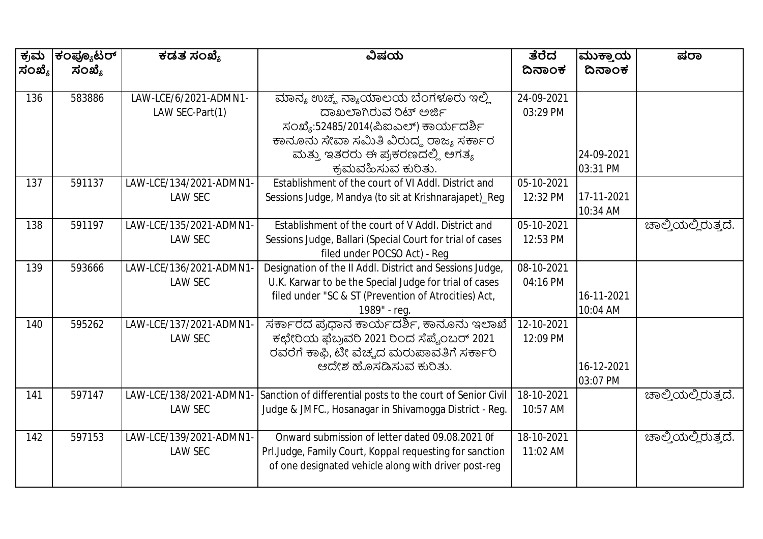| ಕ್ರಮ   | ಕಂಪ್ಯೂಟರ್ | ಕಡತ ಸಂಖ್ಯೆ              | ವಿಷಯ                                                        | ತೆರೆದ      | ಮುಕ್ತಾಯ    | ಷರಾ                 |
|--------|-----------|-------------------------|-------------------------------------------------------------|------------|------------|---------------------|
| ಸಂಖ್ಯೆ | ಸಂಖ್ಯೆ    |                         |                                                             | ದಿನಾಂಕ     | ದಿನಾಂಕ     |                     |
|        | 583886    |                         |                                                             | 24-09-2021 |            |                     |
| 136    |           | LAW-LCE/6/2021-ADMN1-   | ಮಾನ್ಯ ಉಚ್ಮ ನ್ಯಾಯಾಲಯ ಬೆಂಗಳೂರು ಇಲ್ಲಿ<br>ದಾಖಲಾಗಿರುವ ರಿಟ್ ಅರ್ಜಿ |            |            |                     |
|        |           | LAW SEC-Part(1)         |                                                             | 03:29 PM   |            |                     |
|        |           |                         | ಸಂಖ್ಯೆ:52485/2014(ಪಿಐಎಲ್) ಕಾರ್ಯದರ್ಶಿ                        |            |            |                     |
|        |           |                         | ಕಾನೂನು ಸೇವಾ ಸಮಿತಿ ವಿರುದ್ಧ ರಾಜ್ಯ ಸರ್ಕಾರ                      |            |            |                     |
|        |           |                         | ಮತ್ತು ಇತರರು ಈ ಪ್ರಕರಣದಲ್ಲಿ ಅಗತ್ಯ                             |            | 24-09-2021 |                     |
|        |           |                         | ಕ್ರಮವಹಿಸುವ ಕುರಿತು.                                          |            | 03:31 PM   |                     |
| 137    | 591137    | LAW-LCE/134/2021-ADMN1- | Establishment of the court of VI Addl. District and         | 05-10-2021 |            |                     |
|        |           | <b>LAW SEC</b>          | Sessions Judge, Mandya (to sit at Krishnarajapet)_Reg       | 12:32 PM   | 17-11-2021 |                     |
|        |           |                         |                                                             |            | 10:34 AM   |                     |
| 138    | 591197    | LAW-LCE/135/2021-ADMN1- | Establishment of the court of V Addl. District and          | 05-10-2021 |            | ಚಾಲ್ತಿಯಲ್ಲಿರುತ್ತದೆ. |
|        |           | <b>LAW SEC</b>          | Sessions Judge, Ballari (Special Court for trial of cases   | 12:53 PM   |            |                     |
|        |           |                         | filed under POCSO Act) - Reg                                |            |            |                     |
| 139    | 593666    | LAW-LCE/136/2021-ADMN1- | Designation of the II Addl. District and Sessions Judge,    | 08-10-2021 |            |                     |
|        |           | <b>LAW SEC</b>          | U.K. Karwar to be the Special Judge for trial of cases      | 04:16 PM   |            |                     |
|        |           |                         | filed under "SC & ST (Prevention of Atrocities) Act,        |            | 16-11-2021 |                     |
|        |           |                         | 1989" - reg.                                                |            | 10:04 AM   |                     |
| 140    | 595262    | LAW-LCE/137/2021-ADMN1- | ಸರ್ಕಾರದ ಪ್ರಧಾನ ಕಾರ್ಯದರ್ಶಿ, ಕಾನೂನು ಇಲಾಖೆ                     | 12-10-2021 |            |                     |
|        |           | <b>LAW SEC</b>          | ಕಛೇರಿಯ ಫೆಬ್ರವರಿ 2021 ರಿಂದ ಸೆಪ್ಟೆಂಬರ್ 2021                   | 12:09 PM   |            |                     |
|        |           |                         | ರವರೆಗೆ ಕಾಫಿ, ಟೀ ವೆಚ್ಚದ ಮರುಪಾವತಿಗೆ ಸರ್ಕಾರಿ                   |            |            |                     |
|        |           |                         | ಆದೇಶ ಹೊಸಡಿಸುವ ಕುರಿತು.                                       |            | 16-12-2021 |                     |
|        |           |                         |                                                             |            | 03:07 PM   |                     |
| 141    | 597147    | LAW-LCE/138/2021-ADMN1  | Sanction of differential posts to the court of Senior Civil | 18-10-2021 |            | ಚಾಲ್ತಿಯಲ್ಲಿರುತ್ತದೆ. |
|        |           | <b>LAW SEC</b>          | Judge & JMFC., Hosanagar in Shivamogga District - Reg.      | 10:57 AM   |            |                     |
| 142    | 597153    | LAW-LCE/139/2021-ADMN1- | Onward submission of letter dated 09.08.2021 Of             | 18-10-2021 |            | ಚಾಲ್ತಿಯಲ್ಲಿರುತ್ತದೆ. |
|        |           | <b>LAW SEC</b>          | Prl.Judge, Family Court, Koppal requesting for sanction     | 11:02 AM   |            |                     |
|        |           |                         | of one designated vehicle along with driver post-reg        |            |            |                     |
|        |           |                         |                                                             |            |            |                     |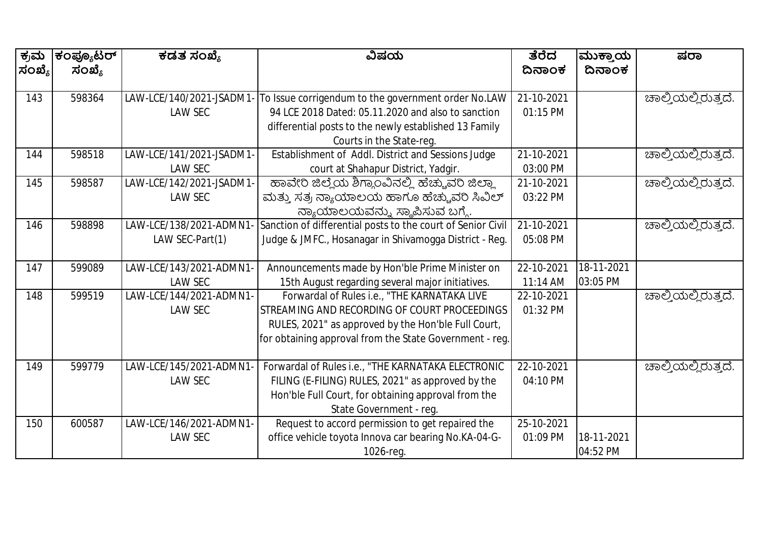| ಕ್ರಮ   | ಕಂಪ್ಯೂಟರ್ | ಕಡತ ಸಂಖ್ಯೆ               | ವಿಷಯ                                                        | ತೆರೆದ      | ಮುಕ್ತಾಯ    | ಷರಾ                 |
|--------|-----------|--------------------------|-------------------------------------------------------------|------------|------------|---------------------|
| ಸಂಖ್ಯೆ | ಸಂಖ್ಯೆ    |                          |                                                             | ದಿನಾಂಕ     | ದಿನಾಂಕ     |                     |
|        |           |                          |                                                             |            |            |                     |
| 143    | 598364    | LAW-LCE/140/2021-JSADM1  | To Issue corrigendum to the government order No.LAW         | 21-10-2021 |            | ಚಾಲ್ತಿಯಲ್ಲಿರುತ್ತದೆ. |
|        |           | <b>LAW SEC</b>           | 94 LCE 2018 Dated: 05.11.2020 and also to sanction          | 01:15 PM   |            |                     |
|        |           |                          | differential posts to the newly established 13 Family       |            |            |                     |
|        |           |                          | Courts in the State-reg.                                    |            |            |                     |
| 144    | 598518    | LAW-LCE/141/2021-JSADM1- | Establishment of Addl. District and Sessions Judge          | 21-10-2021 |            | ಚಾಲ್ತಿಯಲ್ಲಿರುತ್ತದೆ. |
|        |           | <b>LAW SEC</b>           | court at Shahapur District, Yadgir.                         | 03:00 PM   |            |                     |
| 145    | 598587    | LAW-LCE/142/2021-JSADM1- | ಹಾವೇರಿ ಜಿಲ್ಲೆಯ ಶಿಗ್ಗಾಂವಿನಲ್ಲಿ ಹೆಚ್ಚುವರಿ ಜಿಲ್ಲಾ              | 21-10-2021 |            | ಚಾಲ್ತಿಯಲ್ಲಿರುತ್ತದೆ. |
|        |           | <b>LAW SEC</b>           | ಮತ್ತು ಸತ್ರ ನ್ಯಾಯಾಲಯ ಹಾಗೂ ಹೆಚ್ಚುವರಿ ಸಿವಿಲ್                   | 03:22 PM   |            |                     |
|        |           |                          | ನ್ಯಾಯಾಲಯವನ್ನು ಸ್ಥಾಪಿಸುವ ಬಗ್ಗೆ.                              |            |            |                     |
| 146    | 598898    | LAW-LCE/138/2021-ADMN1   | Sanction of differential posts to the court of Senior Civil | 21-10-2021 |            | ಚಾಲ್ತಿಯಲ್ಲಿರುತ್ತದೆ. |
|        |           | LAW SEC-Part(1)          | Judge & JMFC., Hosanagar in Shivamogga District - Reg.      | 05:08 PM   |            |                     |
|        |           |                          |                                                             |            |            |                     |
| 147    | 599089    | LAW-LCE/143/2021-ADMN1-  | Announcements made by Hon'ble Prime Minister on             | 22-10-2021 | 18-11-2021 |                     |
|        |           | <b>LAW SEC</b>           | 15th August regarding several major initiatives.            | 11:14 AM   | 03:05 PM   |                     |
| 148    | 599519    | LAW-LCE/144/2021-ADMN1-  | Forwardal of Rules i.e., "THE KARNATAKA LIVE                | 22-10-2021 |            | ಚಾಲ್ತಿಯಲ್ಲಿರುತ್ತದೆ. |
|        |           | <b>LAW SEC</b>           | STREAMING AND RECORDING OF COURT PROCEEDINGS                | 01:32 PM   |            |                     |
|        |           |                          | RULES, 2021" as approved by the Hon'ble Full Court,         |            |            |                     |
|        |           |                          | for obtaining approval from the State Government - reg.     |            |            |                     |
|        |           |                          |                                                             |            |            |                     |
| 149    | 599779    | LAW-LCE/145/2021-ADMN1   | Forwardal of Rules i.e., "THE KARNATAKA ELECTRONIC          | 22-10-2021 |            | ಚಾಲ್ತಿಯಲ್ಲಿರುತ್ತದೆ. |
|        |           | <b>LAW SEC</b>           | FILING (E-FILING) RULES, 2021" as approved by the           | 04:10 PM   |            |                     |
|        |           |                          | Hon'ble Full Court, for obtaining approval from the         |            |            |                     |
|        |           |                          | State Government - req.                                     |            |            |                     |
| 150    | 600587    | LAW-LCE/146/2021-ADMN1-  | Request to accord permission to get repaired the            | 25-10-2021 |            |                     |
|        |           | <b>LAW SEC</b>           | office vehicle toyota Innova car bearing No.KA-04-G-        | 01:09 PM   | 18-11-2021 |                     |
|        |           |                          | 1026-reg.                                                   |            | 04:52 PM   |                     |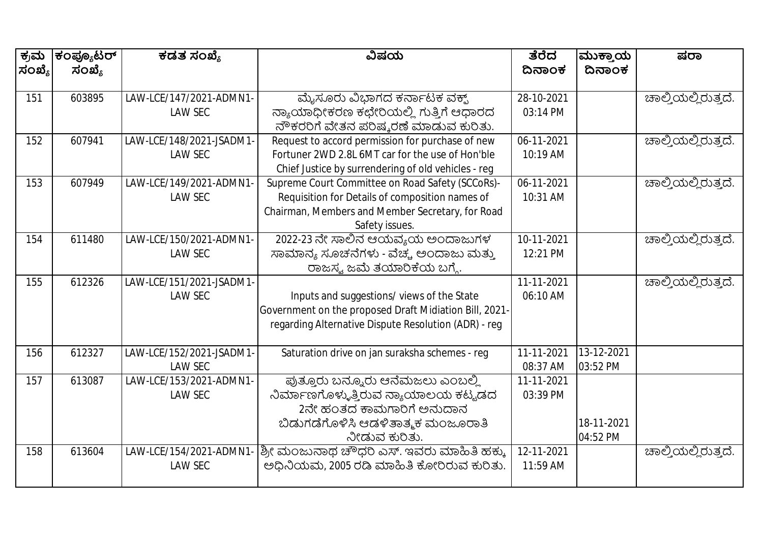| ಕ್ರಮ   | ಕಂಪ್ಯೂಟರ್ | ಕಡತ ಸಂಖ್ಯೆ               | ವಿಷಯ                                                   | ತೆರೆದ      | ಮುಕ್ತಾಯ    | ಷರಾ                 |
|--------|-----------|--------------------------|--------------------------------------------------------|------------|------------|---------------------|
| ಸಂಖ್ಯೆ | ಸಂಖ್ಯೆ    |                          |                                                        | ದಿನಾಂಕ     | ದಿನಾಂಕ     |                     |
| 151    | 603895    | LAW-LCE/147/2021-ADMN1-  | ಮೈಸೂರು ವಿಭಾಗದ ಕರ್ನಾಟಕ ವಕ್ಖ್                            | 28-10-2021 |            | ಚಾಲ್ತಿಯಲ್ಲಿರುತ್ತದೆ. |
|        |           | <b>LAW SEC</b>           | ನ್ಯಾಯಾಧೀಕರಣ ಕಛೇರಿಯಲ್ಲಿ ಗುತ್ತಿಗೆ ಆಧಾರದ                  | 03:14 PM   |            |                     |
|        |           |                          | ನೌಕರರಿಗೆ ವೇತನ ಪರಿಷ್ಕರಣೆ ಮಾಡುವ ಕುರಿತು.                  |            |            |                     |
| 152    | 607941    | LAW-LCE/148/2021-JSADM1- | Request to accord permission for purchase of new       | 06-11-2021 |            | ಚಾಲ್ತಿಯಲ್ಲಿರುತ್ತದೆ. |
|        |           | <b>LAW SEC</b>           | Fortuner 2WD 2.8L 6MT car for the use of Hon'ble       | 10:19 AM   |            |                     |
|        |           |                          | Chief Justice by surrendering of old vehicles - reg    |            |            |                     |
| 153    | 607949    | LAW-LCE/149/2021-ADMN1   | Supreme Court Committee on Road Safety (SCCoRs)-       | 06-11-2021 |            | ಚಾಲ್ತಿಯಲ್ಲಿರುತ್ತದೆ. |
|        |           | <b>LAW SEC</b>           | Requisition for Details of composition names of        | 10:31 AM   |            |                     |
|        |           |                          | Chairman, Members and Member Secretary, for Road       |            |            |                     |
|        |           |                          | Safety issues.                                         |            |            |                     |
| 154    | 611480    | LAW-LCE/150/2021-ADMN1-  | 2022-23 ನೇ ಸಾಲಿನ ಆಯವ್ಯಯ ಅಂದಾಜುಗಳ                       | 10-11-2021 |            | ಚಾಲ್ತಿಯಲ್ಲಿರುತ್ತದೆ. |
|        |           | <b>LAW SEC</b>           | ಸಾಮಾನ್ಯ ಸೂಚನೆಗಳು - ವೆಚ್ಚ ಅಂದಾಜು ಮತ್ತು                  | 12:21 PM   |            |                     |
|        |           |                          | ರಾಜಸ್ವ ಜಮೆ ತಯಾರಿಕೆಯ ಬಗ್ಗೆ.                             |            |            |                     |
| 155    | 612326    | LAW-LCE/151/2021-JSADM1  |                                                        | 11-11-2021 |            | ಚಾಲ್ತಿಯಲ್ಲಿರುತ್ತದೆ. |
|        |           | <b>LAW SEC</b>           | Inputs and suggestions/views of the State              | 06:10 AM   |            |                     |
|        |           |                          | Government on the proposed Draft Midiation Bill, 2021- |            |            |                     |
|        |           |                          | regarding Alternative Dispute Resolution (ADR) - reg   |            |            |                     |
|        |           |                          |                                                        |            |            |                     |
| 156    | 612327    | LAW-LCE/152/2021-JSADM1- | Saturation drive on jan suraksha schemes - reg         | 11-11-2021 | 13-12-2021 |                     |
|        |           | <b>LAW SEC</b>           |                                                        | 08:37 AM   | 03:52 PM   |                     |
| 157    | 613087    | LAW-LCE/153/2021-ADMN1-  | ಪುತ್ತೂರು ಬನ್ನೂರು ಆನೆಮಜಲು ಎಂಬಲ್ಲಿ                       | 11-11-2021 |            |                     |
|        |           | <b>LAW SEC</b>           | ನಿರ್ಮಾಣಗೊಳ್ಳುತ್ತಿರುವ ನ್ಯಾಯಾಲಯ ಕಟ್ಟಡದ                   | 03:39 PM   |            |                     |
|        |           |                          | 2ನೇ ಹಂತದ ಕಾಮಗಾರಿಗೆ ಅನುದಾನ                              |            |            |                     |
|        |           |                          | ಬಿಡುಗಡೆಗೊಳಿಸಿ ಆಡಳಿತಾತ್ಮಕ ಮಂಜೂರಾತಿ                      |            | 18-11-2021 |                     |
|        |           |                          | ನೀಡುವ ಕುರಿತು.                                          |            | 04:52 PM   |                     |
| 158    | 613604    | LAW-LCE/154/2021-ADMN1   | ಶ್ರೀ ಮಂಜುನಾಥ ಚೌಧರಿ ಎಸ್. ಇವರು ಮಾಹಿತಿ ಹಕ್ಕು              | 12-11-2021 |            | ಚಾಲ್ತಿಯಲ್ಲಿರುತ್ತದೆ. |
|        |           | <b>LAW SEC</b>           | ಅಧಿನಿಯಮ, 2005 ರಡಿ ಮಾಹಿತಿ ಕೋರಿರುವ ಕುರಿತು.               | 11:59 AM   |            |                     |
|        |           |                          |                                                        |            |            |                     |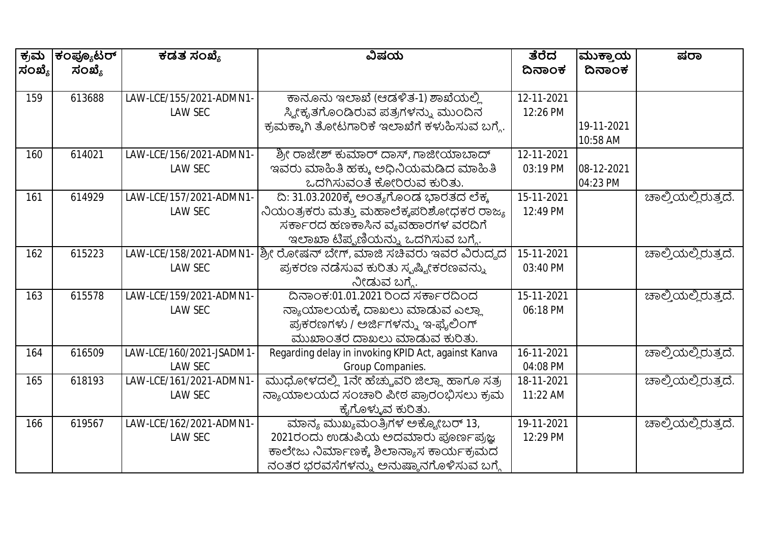| ಕ್ರಮ   | ಕಂಪ್ಯೂಟರ್ | ಕಡತ ಸಂಖ್ಯೆ               | ವಿಷಯ                                                | ತೆರೆದ      | ಮುಕ್ತಾಯ    | ಷರಾ                 |
|--------|-----------|--------------------------|-----------------------------------------------------|------------|------------|---------------------|
| ಸಂಖ್ಯೆ | ಸಂಖ್ಯೆ    |                          |                                                     | ದಿನಾಂಕ     | ದಿನಾಂಕ     |                     |
| 159    | 613688    | LAW-LCE/155/2021-ADMN1-  | ಕಾನೂನು ಇಲಾಖೆ (ಆಡಳಿತ-1) ಶಾಖೆಯಲ್ಲಿ                    | 12-11-2021 |            |                     |
|        |           | <b>LAW SEC</b>           | ಸ್ತ್ರೀಕೃತಗೊಂಡಿರುವ ಪತ್ರಗಳನ್ನು ಮುಂದಿನ                 | 12:26 PM   |            |                     |
|        |           |                          | ಕ್ರಮಕ್ಕಾಗಿ ತೋಟಗಾರಿಕೆ ಇಲಾಖೆಗೆ ಕಳುಹಿಸುವ ಬಗ್ಗೆ.        |            | 19-11-2021 |                     |
|        |           |                          |                                                     |            | 10:58 AM   |                     |
| 160    | 614021    | LAW-LCE/156/2021-ADMN1-  | ಶ್ರೀ ರಾಜೇಶ್ ಕುಮಾರ್ ದಾಸ್, ಗಾಜೀಯಾಬಾದ್                 | 12-11-2021 |            |                     |
|        |           | <b>LAW SEC</b>           | ಇವರು ಮಾಹಿತಿ ಹಕ್ಕು ಅಧಿನಿಯಮಡಿದ ಮಾಹಿತಿ                 | 03:19 PM   | 08-12-2021 |                     |
|        |           |                          | ಒದಗಿಸುವಂತೆ ಕೋರಿರುವ ಕುರಿತು.                          |            | 04:23 PM   |                     |
| 161    | 614929    | LAW-LCE/157/2021-ADMN1-  | ದಿ: 31.03.2020ಕ್ಕೆ ಅಂತ್ಯಗೊಂಡ ಭಾರತದ ಲೆಕ್ಕ            | 15-11-2021 |            | ಚಾಲ್ತಿಯಲ್ಲಿರುತ್ತದೆ. |
|        |           | <b>LAW SEC</b>           | ನಿಯಂತ್ರಕರು ಮತ್ತು ಮಹಾಲೆಕ್ಕಪರಿಶೋಧಕರ ರಾಜ್ಯ             | 12:49 PM   |            |                     |
|        |           |                          | ಸರ್ಕಾರದ ಹಣಕಾಸಿನ ವ್ಯವಹಾರಗಳ ವರದಿಗೆ                    |            |            |                     |
|        |           |                          | ಇಲಾಖಾ ಟಿಪ್ಪಣಿಯನ್ನು ಒದಗಿಸುವ ಬಗ್ಗೆ.                   |            |            |                     |
| 162    | 615223    | LAW-LCE/158/2021-ADMN1   | ಶ್ರೀ ರೋಷನ್ ಬೇಗ್, ಮಾಜಿ ಸಚಿವರು ಇವರ ವಿರುದ್ಧದ           | 15-11-2021 |            | ಚಾಲ್ತಿಯಲ್ಲಿರುತ್ತದೆ. |
|        |           | <b>LAW SEC</b>           | ಪ್ರಕರಣ ನಡೆಸುವ ಕುರಿತು ಸ್ಮಷ್ಟೀಕರಣವನ್ನು                | 03:40 PM   |            |                     |
|        |           |                          | ನೀಡುವ ಬಗ್ಗೆ.                                        |            |            |                     |
| 163    | 615578    | LAW-LCE/159/2021-ADMN1-  | ದಿನಾಂಕ:01.01.2021 ರಿಂದ ಸರ್ಕಾರದಿಂದ                   | 15-11-2021 |            | ಚಾಲ್ತಿಯಲ್ಲಿರುತ್ತದೆ. |
|        |           | <b>LAW SEC</b>           | ನ್ಯಾಯಾಲಯಕ್ಕೆ ದಾಖಲು ಮಾಡುವ ಎಲ್ಲಾ                      | 06:18 PM   |            |                     |
|        |           |                          | ಪ್ರಕರಣಗಳು / ಅರ್ಜಿಗಳನ್ನು ಇ-ಫೈಲಿಂಗ್                   |            |            |                     |
|        |           |                          | ಮುಖಾಂತರ ದಾಖಲು ಮಾಡುವ ಕುರಿತು.                         |            |            |                     |
| 164    | 616509    | LAW-LCE/160/2021-JSADM1- | Regarding delay in invoking KPID Act, against Kanva | 16-11-2021 |            | ಚಾಲ್ತಿಯಲ್ಲಿರುತ್ತದೆ. |
|        |           | <b>LAW SEC</b>           | Group Companies.                                    | 04:08 PM   |            |                     |
| 165    | 618193    | LAW-LCE/161/2021-ADMN1   | ಮುಧೋಳದಲ್ಲಿ 1ನೇ ಹೆಚ್ಚುವರಿ ಜಿಲ್ಲಾ ಹಾಗೂ ಸತ್ರ           | 18-11-2021 |            | ಚಾಲ್ತಿಯಲ್ಲಿರುತ್ತದೆ. |
|        |           | <b>LAW SEC</b>           | ನ್ಯಾಯಾಲಯದ ಸಂಚಾರಿ ಪೀಠ ಪ್ರಾರಂಭಿಸಲು ಕ್ರಮ               | 11:22 AM   |            |                     |
|        |           |                          | ಕೈಗೊಳ್ಳುವ ಕುರಿತು.                                   |            |            |                     |
| 166    | 619567    | LAW-LCE/162/2021-ADMN1-  | ಮಾನ್ಯ ಮುಖ್ಯಮಂತ್ರಿಗಳ ಅಕ್ಟೋಬರ್ 13,                    | 19-11-2021 |            | ಚಾಲ್ತಿಯಲ್ಲಿರುತ್ತದೆ. |
|        |           | <b>LAW SEC</b>           | 2021ರಂದು ಉಡುಪಿಯ ಅದಮಾರು ಪೂರ್ಣಪ್ರಜ್ಞ                  | 12:29 PM   |            |                     |
|        |           |                          | ಕಾಲೇಜು ನಿರ್ಮಾಣಕ್ಕೆ ಶಿಲಾನ್ಯಾಸ ಕಾರ್ಯಕ್ರಮದ             |            |            |                     |
|        |           |                          | ನಂತರ ಭರವಸೆಗಳನ್ನು ಅನುಷ್ಠಾನಗೊಳಿಸುವ ಬಗ್ಗೆ              |            |            |                     |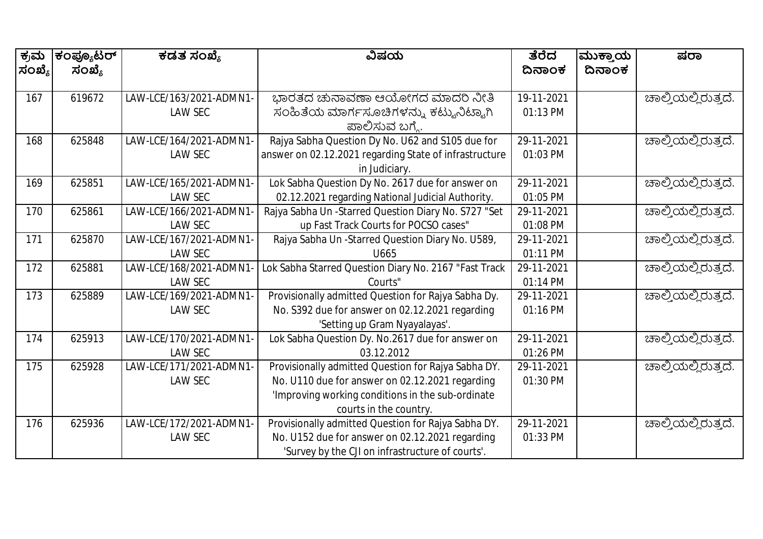| ಕ್ರಮ   | ಕಂಪ್ಯೂಟರ್ | ಕಡತ ಸಂಖ್ಯೆ              | ವಿಷಯ                                                   | ತೆರೆದ      | ಮುಕ್ತಾಯ | ಷರಾ                 |
|--------|-----------|-------------------------|--------------------------------------------------------|------------|---------|---------------------|
| ಸಂಖ್ಯೆ | ಸಂಖ್ಯೆ    |                         |                                                        | ದಿನಾಂಕ     | ದಿನಾಂಕ  |                     |
|        |           |                         |                                                        |            |         |                     |
| 167    | 619672    | LAW-LCE/163/2021-ADMN1- | ಭಾರತದ ಚುನಾವಣಾ ಆಯೋಗದ ಮಾದರಿ ನೀತಿ                         | 19-11-2021 |         | ಚಾಲ್ತಿಯಲ್ಲಿರುತ್ತದೆ. |
|        |           | <b>LAW SEC</b>          | ಸಂಹಿತೆಯ ಮಾರ್ಗಸೂಚಿಗಳನ್ನು ಕಟ್ಟುನಿಟ್ಟಾಗಿ                  | 01:13 PM   |         |                     |
|        |           |                         | ಪಾಲಿಸುವ ಬಗ್ಗೆ.                                         |            |         |                     |
| 168    | 625848    | LAW-LCE/164/2021-ADMN1- | Rajya Sabha Question Dy No. U62 and S105 due for       | 29-11-2021 |         | ಚಾಲ್ತಿಯಲ್ಲಿರುತ್ತದೆ. |
|        |           | <b>LAW SEC</b>          | answer on 02.12.2021 regarding State of infrastructure | 01:03 PM   |         |                     |
|        |           |                         | in Judiciary.                                          |            |         |                     |
| 169    | 625851    | LAW-LCE/165/2021-ADMN1- | Lok Sabha Question Dy No. 2617 due for answer on       | 29-11-2021 |         | ಚಾಲ್ತಿಯಲ್ಲಿರುತ್ತದೆ. |
|        |           | <b>LAW SEC</b>          | 02.12.2021 regarding National Judicial Authority.      | 01:05 PM   |         |                     |
| 170    | 625861    | LAW-LCE/166/2021-ADMN1  | Rajya Sabha Un -Starred Question Diary No. S727 "Set   | 29-11-2021 |         | ಚಾಲ್ತಿಯಲ್ಲಿರುತ್ತದೆ. |
|        |           | <b>LAW SEC</b>          | up Fast Track Courts for POCSO cases"                  | 01:08 PM   |         |                     |
| 171    | 625870    | LAW-LCE/167/2021-ADMN1- | Rajya Sabha Un - Starred Question Diary No. U589,      | 29-11-2021 |         | ಚಾಲ್ತಿಯಲ್ಲಿರುತ್ತದೆ. |
|        |           | <b>LAW SEC</b>          | U665                                                   | 01:11 PM   |         |                     |
| 172    | 625881    | LAW-LCE/168/2021-ADMN1  | Lok Sabha Starred Question Diary No. 2167 "Fast Track  | 29-11-2021 |         | ಚಾಲ್ತಿಯಲ್ಲಿರುತ್ತದೆ. |
|        |           | <b>LAW SEC</b>          | Courts"                                                | 01:14 PM   |         |                     |
| 173    | 625889    | LAW-LCE/169/2021-ADMN1- | Provisionally admitted Question for Rajya Sabha Dy.    | 29-11-2021 |         | ಚಾಲ್ತಿಯಲ್ಲಿರುತ್ತದೆ. |
|        |           | <b>LAW SEC</b>          | No. S392 due for answer on 02.12.2021 regarding        | 01:16 PM   |         |                     |
|        |           |                         | 'Setting up Gram Nyayalayas'.                          |            |         |                     |
| 174    | 625913    | LAW-LCE/170/2021-ADMN1- | Lok Sabha Question Dy. No.2617 due for answer on       | 29-11-2021 |         | ಚಾಲ್ತಿಯಲ್ಲಿರುತ್ತದೆ. |
|        |           | <b>LAW SEC</b>          | 03.12.2012                                             | 01:26 PM   |         |                     |
| 175    | 625928    | LAW-LCE/171/2021-ADMN1- | Provisionally admitted Question for Rajya Sabha DY.    | 29-11-2021 |         | ಚಾಲ್ಕಿಯಲ್ಲಿರುತ್ತದೆ. |
|        |           | <b>LAW SEC</b>          | No. U110 due for answer on 02.12.2021 regarding        | 01:30 PM   |         |                     |
|        |           |                         | 'Improving working conditions in the sub-ordinate      |            |         |                     |
|        |           |                         | courts in the country.                                 |            |         |                     |
| 176    | 625936    | LAW-LCE/172/2021-ADMN1- | Provisionally admitted Question for Rajya Sabha DY.    | 29-11-2021 |         | ಚಾಲ್ತಿಯಲ್ಲಿರುತ್ತದೆ. |
|        |           | <b>LAW SEC</b>          | No. U152 due for answer on 02.12.2021 regarding        | 01:33 PM   |         |                     |
|        |           |                         | 'Survey by the CJI on infrastructure of courts'.       |            |         |                     |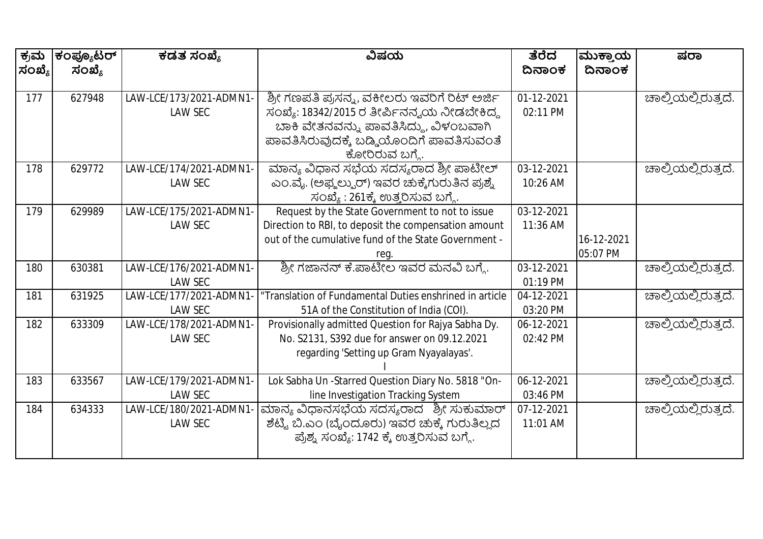| ಕ್ರಮ   | ಕಂಪ್ಯೂಟರ್ | ಕಡತ ಸಂಖ್ಯೆ              | ವಿಷಯ                                                    | ತೆರೆದ      | ಮುಕ್ತಾಯ    | ಷರಾ                        |
|--------|-----------|-------------------------|---------------------------------------------------------|------------|------------|----------------------------|
| ಸಂಖ್ಯೆ | ಸಂಖ್ಯೆ    |                         |                                                         | ದಿನಾಂಕ     | ದಿನಾಂಕ     |                            |
|        |           |                         |                                                         |            |            |                            |
| 177    | 627948    | LAW-LCE/173/2021-ADMN1  | ಶ್ರೀ ಗಣಪತಿ ಪ್ರಸನ್ನ, ವಕೀಲರು ಇವರಿಗೆ ರಿಟ್ ಅರ್ಜಿ            | 01-12-2021 |            | ಚಾಲ್ತಿಯಲ್ಲಿರುತ್ತದೆ.        |
|        |           | <b>LAW SEC</b>          | ಸಂಖ್ಯೆ: 18342/2015 ರ ತೀರ್ಪಿನನ್ನಯ ನೀಡಬೇಕಿದ್ದ             | 02:11 PM   |            |                            |
|        |           |                         | ಬಾಕಿ ವೇತನವನ್ನು ಪಾವತಿಸಿದ್ದು, ವಿಳಂಬವಾಗಿ                   |            |            |                            |
|        |           |                         | ಪಾವತಿಸಿರುವುದಕ್ಕೆ ಬಡ್ಡಿಯೊಂದಿಗೆ ಪಾವತಿಸುವಂತೆ               |            |            |                            |
|        |           |                         | ಕೋರಿರುವ ಬಗ್ಗೆ.                                          |            |            |                            |
| 178    | 629772    | LAW-LCE/174/2021-ADMN1- | ಮಾನ್ಯ ವಿಧಾನ ಸಭೆಯ ಸದಸ್ಯರಾದ ಶ್ರೀ ಪಾಟೀಲ್                   | 03-12-2021 |            | ಚಾಲ್ತಿಯಲ್ಲಿರುತ್ತದೆ.        |
|        |           | <b>LAW SEC</b>          | ಎಂ.ವೈ. (ಅಫ್ಞಲ್ಪುರ್) ಇವರ ಚುಕ್ಕೆಗುರುತಿನ ಪ್ರಶ್ನೆ           | 10:26 AM   |            |                            |
|        |           |                         | ಸಂಖ್ಯೆ : 261ಕ್ಕೆ ಉತ್ತರಿಸುವ ಬಗ್ಗೆ.                       |            |            |                            |
| 179    | 629989    | LAW-LCE/175/2021-ADMN1- | Request by the State Government to not to issue         | 03-12-2021 |            |                            |
|        |           | <b>LAW SEC</b>          | Direction to RBI, to deposit the compensation amount    | 11:36 AM   |            |                            |
|        |           |                         | out of the cumulative fund of the State Government -    |            | 16-12-2021 |                            |
|        |           |                         | reg.                                                    |            | 05:07 PM   |                            |
| 180    | 630381    | LAW-LCE/176/2021-ADMN1- | ಶ್ರೀ ಗಜಾನನ್ ಕೆ.ಪಾಟೀಲ ಇವರ ಮನವಿ ಬಗ್ಗೆ.                    | 03-12-2021 |            | <u>ಚಾಲ್ತಿಯಲ್ಲಿರುತ್ತದೆ.</u> |
|        |           | <b>LAW SEC</b>          |                                                         | 01:19 PM   |            |                            |
| 181    | 631925    | LAW-LCE/177/2021-ADMN1  | "Translation of Fundamental Duties enshrined in article | 04-12-2021 |            | ಚಾಲ್ತಿಯಲ್ಲಿರುತ್ತದೆ.        |
|        |           | <b>LAW SEC</b>          | 51A of the Constitution of India (COI).                 | 03:20 PM   |            |                            |
| 182    | 633309    | LAW-LCE/178/2021-ADMN1  | Provisionally admitted Question for Rajya Sabha Dy.     | 06-12-2021 |            | ಚಾಲ್ತಿಯಲ್ಲಿರುತ್ತದೆ.        |
|        |           | <b>LAW SEC</b>          | No. \$2131, \$392 due for answer on 09.12.2021          | 02:42 PM   |            |                            |
|        |           |                         | regarding 'Setting up Gram Nyayalayas'.                 |            |            |                            |
|        |           |                         |                                                         |            |            |                            |
| 183    | 633567    | LAW-LCE/179/2021-ADMN1- | Lok Sabha Un -Starred Question Diary No. 5818 "On-      | 06-12-2021 |            | ಚಾಲ್ತಿಯಲ್ಲಿರುತ್ತದೆ.        |
|        |           | <b>LAW SEC</b>          | line Investigation Tracking System                      | 03:46 PM   |            |                            |
| 184    | 634333    | LAW-LCE/180/2021-ADMN1  | ಮಾನ್ಯ ವಿಧಾನಸಭೆಯ ಸದಸ್ಯರಾದ ಶ್ರೀ ಸುಕುಮಾರ್                  | 07-12-2021 |            | ಚಾಲ್ತಿಯಲ್ಲಿರುತ್ತದೆ.        |
|        |           | LAW SEC                 | ಶೆಟ್ಟಿ ಬಿ.ಎಂ (ಬೈಂದೂರು) ಇವರ ಚುಕ್ಕೆ ಗುರುತಿಲ್ಲದ            | 11:01 AM   |            |                            |
|        |           |                         | ಪ್ರೆಶ್ನ ಸಂಖ್ಯೆ: 1742 ಕ್ಕೆ ಉತ್ತರಿಸುವ ಬಗ್ಗೆ.              |            |            |                            |
|        |           |                         |                                                         |            |            |                            |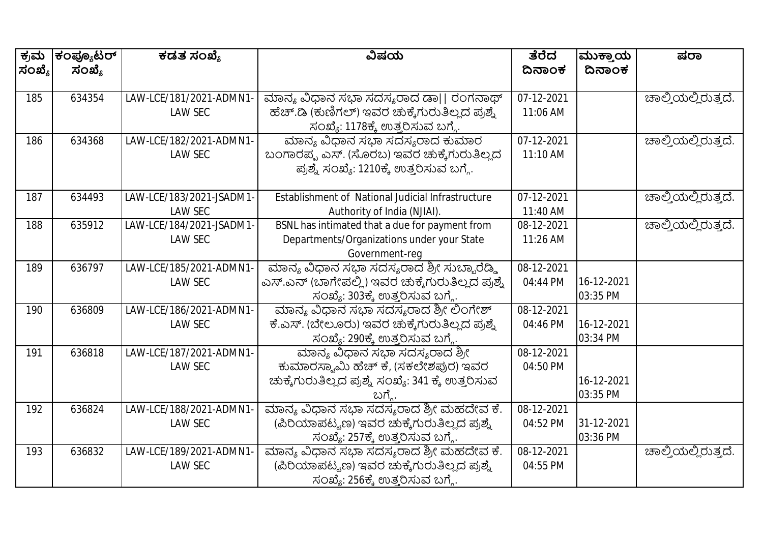| ಕ್ರಮ   | ಕಂಪ್ಯೂಟರ್ | ಕಡತ ಸಂಖ್ಯೆ              | ವಿಷಯ                                                | ತೆರೆದ      | ಮುಕ್ತಾಯ    | ಷರಾ                 |
|--------|-----------|-------------------------|-----------------------------------------------------|------------|------------|---------------------|
| ಸಂಖ್ಯೆ | ಸಂಖ್ಯೆ    |                         |                                                     | ದಿನಾಂಕ     | ದಿನಾಂಕ     |                     |
|        |           |                         |                                                     |            |            |                     |
| 185    | 634354    | LAW-LCE/181/2021-ADMN1  | ಮಾನ್ಯ ವಿಧಾನ ಸಭಾ ಸದಸ್ಯರಾದ ಡಾ   ರಂಗನಾಥ್               | 07-12-2021 |            | ಚಾಲ್ತಿಯಲ್ಲಿರುತ್ತದೆ. |
|        |           | <b>LAW SEC</b>          | ಹೆಚ್.ಡಿ (ಕುಣಿಗಲ್) ಇವರ ಚುಕ್ಕೆಗುರುತಿಲ್ಲದ ಪ್ರಶ್ನೆ      | 11:06 AM   |            |                     |
|        |           |                         | ಸಂಖ್ಯೆ: 1178ಕ್ಕೆ ಉತ್ತರಿಸುವ ಬಗ್ಗೆ.                   |            |            |                     |
| 186    | 634368    | LAW-LCE/182/2021-ADMN1- | ಮಾನ್ಯ ವಿಧಾನ ಸಭಾ ಸದಸ್ಯರಾದ ಕುಮಾರ                      | 07-12-2021 |            | ಚಾಲ್ತಿಯಲ್ಲಿರುತ್ತದೆ. |
|        |           | <b>LAW SEC</b>          | ಬಂಗಾರಪ್ಪ ಎಸ್. (ಸೊರಬ) ಇವರ ಚುಕ್ಕೆಗುರುತಿಲ್ಲದ           | 11:10 AM   |            |                     |
|        |           |                         | ಪ್ರಶ್ನೆ ಸಂಖ್ಯೆ: 1210ಕ್ಕೆ ಉತ್ತರಿಸುವ ಬಗ್ಗೆ.           |            |            |                     |
|        |           |                         |                                                     |            |            |                     |
| 187    | 634493    | LAW-LCE/183/2021-JSADM1 | Establishment of National Judicial Infrastructure   | 07-12-2021 |            | ಚಾಲ್ತಿಯಲ್ಲಿರುತ್ತದೆ. |
|        |           | <b>LAW SEC</b>          | Authority of India (NJIAI).                         | 11:40 AM   |            |                     |
| 188    | 635912    | LAW-LCE/184/2021-JSADM1 | BSNL has intimated that a due for payment from      | 08-12-2021 |            | ಚಾಲ್ತಿಯಲ್ಲಿರುತ್ತದೆ. |
|        |           | <b>LAW SEC</b>          | Departments/Organizations under your State          | 11:26 AM   |            |                     |
|        |           |                         | Government-req                                      |            |            |                     |
| 189    | 636797    | LAW-LCE/185/2021-ADMN1- | ಮಾನ್ಯ ವಿಧಾನ ಸಭಾ ಸದಸ್ಯರಾದ ಶ್ರೀ ಸುಬ್ಬಾರೆಡ್ಡಿ          | 08-12-2021 |            |                     |
|        |           | <b>LAW SEC</b>          | ಎಸ್.ಎನ್ (ಬಾಗೇಪಲ್ಲಿ) ಇವರ ಚುಕ್ಕೆಗುರುತಿಲ್ಲದ ಪ್ರಶ್ನೆ    | 04:44 PM   | 16-12-2021 |                     |
|        |           |                         | ಸಂಖ್ಯೆ: 303ಕ್ಕೆ ಉತ್ತರಿಸುವ ಬಗ್ಗೆ.                    |            | 03:35 PM   |                     |
| 190    | 636809    | LAW-LCE/186/2021-ADMN1- | ಮಾನ್ಯ ವಿಧಾನ ಸಭಾ ಸದಸ್ಯರಾದ ಶ್ರೀ ಲಿಂಗೇಶ್               | 08-12-2021 |            |                     |
|        |           | <b>LAW SEC</b>          | ಕೆ.ಎಸ್. (ಬೇಲೂರು) ಇವರ ಚುಕ್ಕೆಗುರುತಿಲ್ಲದ ಪ್ರಶ್ನೆ       | 04:46 PM   | 16-12-2021 |                     |
|        |           |                         | ಸಂಖ್ಯೆ: 290ಕ್ಕೆ ಉತ್ತರಿಸುವ ಬಗ್ಗೆ.                    |            | 03:34 PM   |                     |
| 191    | 636818    | LAW-LCE/187/2021-ADMN1- | ಮಾನ್ಯ ವಿಧಾನ ಸಭಾ ಸದಸ್ಯರಾದ ಶ್ರೀ                       | 08-12-2021 |            |                     |
|        |           | <b>LAW SEC</b>          | ಕುಮಾರಸ್ವಾಮಿ ಹೆಚ್ ಕೆ, (ಸಕಲೇಶಪುರ) ಇವರ                 | 04:50 PM   |            |                     |
|        |           |                         | ಚುಕ್ಕೆಗುರುತಿಲ್ಲದ ಪ್ರಶ್ನೆ ಸಂಖ್ಯೆ: 341 ಕ್ಕೆ ಉತ್ತರಿಸುವ |            | 16-12-2021 |                     |
|        |           |                         | ಬಗ್ಗೆ.                                              |            | 03:35 PM   |                     |
| 192    | 636824    | LAW-LCE/188/2021-ADMN1  | ಮಾನ್ಯ ವಿಧಾನ ಸಭಾ ಸದಸ್ಯರಾದ ಶ್ರೀ ಮಹದೇವ ಕೆ.             | 08-12-2021 |            |                     |
|        |           | <b>LAW SEC</b>          | (ಪಿರಿಯಾಪಟ್ಟಣ) ಇವರ ಚುಕ್ಕೆಗುರುತಿಲ್ಲದ ಪ್ರಶ್ನೆ          | 04:52 PM   | 31-12-2021 |                     |
|        |           |                         | ಸಂಖ್ಯೆ: 257ಕ್ಕೆ ಉತ್ತರಿಸುವ ಬಗ್ಗೆ.                    |            | 03:36 PM   |                     |
| 193    | 636832    | LAW-LCE/189/2021-ADMN1  | ಮಾನ್ಯ ವಿಧಾನ ಸಭಾ ಸದಸ್ಯರಾದ ಶ್ರೀ ಮಹದೇವ ಕೆ.             | 08-12-2021 |            | ಚಾಲ್ತಿಯಲ್ಲಿರುತ್ತದೆ. |
|        |           | <b>LAW SEC</b>          | (ಪಿರಿಯಾಪಟ್ಟಣ) ಇವರ ಚುಕ್ಕೆಗುರುತಿಲ್ಲದ ಪ್ರಶ್ನೆ          | 04:55 PM   |            |                     |
|        |           |                         | ಸಂಖ್ಯೆ: 256ಕ್ಕೆ ಉತ್ತರಿಸುವ ಬಗ್ಗೆ.                    |            |            |                     |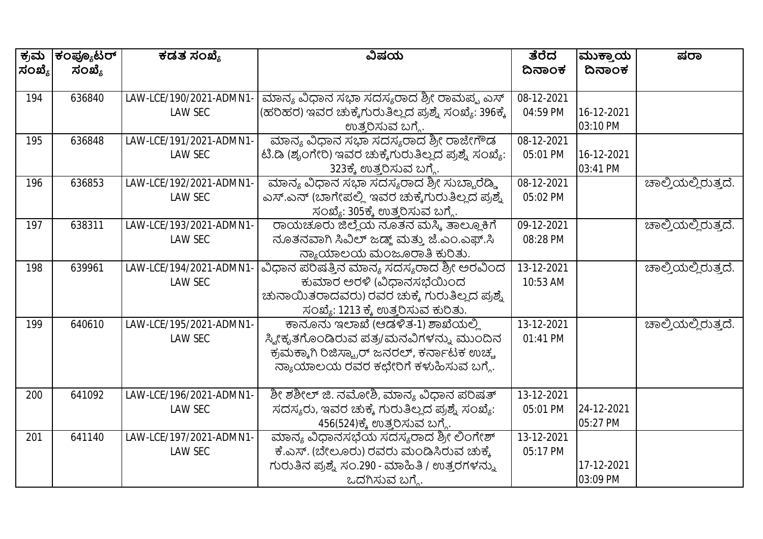| ಕ್ರಮ   | ಕಂಪ್ಯೂಟರ್ | ಕಡತ ಸಂಖ್ಯೆ              | ವಿಷಯ                                                 | ತೆರೆದ      | ಮುಕ್ತಾಯ    | ಷರಾ                 |
|--------|-----------|-------------------------|------------------------------------------------------|------------|------------|---------------------|
| ಸಂಖ್ಯೆ | ಸಂಖ್ಯೆ    |                         |                                                      | ದಿನಾಂಕ     | ದಿನಾಂಕ     |                     |
|        |           |                         |                                                      |            |            |                     |
| 194    | 636840    | LAW-LCE/190/2021-ADMN1  | ಮಾನ್ಯ ವಿಧಾನ ಸಭಾ ಸದಸ್ಯರಾದ ಶ್ರೀ ರಾಮಪ್ಪ ಎಸ್             | 08-12-2021 |            |                     |
|        |           | <b>LAW SEC</b>          | (ಹರಿಹರ) ಇವರ ಚುಕ್ಕೆಗುರುತಿಲ್ಲದ ಪ್ರಶ್ನೆ ಸಂಖ್ಯೆ: 396ಕ್ಕೆ | 04:59 PM   | 16-12-2021 |                     |
|        |           |                         | ಉತ್ತರಿಸುವ ಬಗ್ಗೆ.                                     |            | 03:10 PM   |                     |
| 195    | 636848    | LAW-LCE/191/2021-ADMN1- | ಮಾನ್ಯ ವಿಧಾನ ಸಭಾ ಸದಸ್ಯರಾದ ಶ್ರೀ ರಾಜೇಗೌಡ                | 08-12-2021 |            |                     |
|        |           | <b>LAW SEC</b>          | ಟಿ.ಡಿ (ಶೃಂಗೇರಿ) ಇವರ ಚುಕ್ಕೆಗುರುತಿಲ್ಲದ ಪ್ರಶ್ನೆ ಸಂಖ್ಯೆ: | 05:01 PM   | 16-12-2021 |                     |
|        |           |                         | 323ಕ್ಕೆ ಉತ್ತರಿಸುವ ಬಗ್ಗೆ.                             |            | 03:41 PM   |                     |
| 196    | 636853    | LAW-LCE/192/2021-ADMN1- | ಮಾನ್ಯ ವಿಧಾನ ಸಭಾ ಸದಸ್ಯರಾದ ಶ್ರೀ ಸುಬ್ಬಾರೆಡ್ಡಿ           | 08-12-2021 |            | ಚಾಲ್ತಿಯಲ್ಲಿರುತ್ತದೆ. |
|        |           | <b>LAW SEC</b>          | ಎಸ್.ಎನ್ (ಬಾಗೇಪಲ್ಲಿ ಇವರ ಚುಕ್ಕೆಗುರುತಿಲ್ಲದ ಪ್ರಶ್ನೆ      | 05:02 PM   |            |                     |
|        |           |                         | ಸಂಖ್ಯೆ: 305ಕ್ಕೆ ಉತ್ತರಿಸುವ ಬಗ್ಗೆ.                     |            |            |                     |
| 197    | 638311    | LAW-LCE/193/2021-ADMN1- | ರಾಯಚೂರು ಜಿಲ್ಲೆಯ ನೂತನ ಮಸ್ಮಿ ತಾಲ್ಲೂಕಿಗೆ                | 09-12-2021 |            | ಚಾಲ್ತಿಯಲ್ಲಿರುತ್ತದೆ. |
|        |           | <b>LAW SEC</b>          | ನೂತನವಾಗಿ ಸಿವಿಲ್ ಜಡ್ಜ್ ಮತ್ತು ಜೆ.ಎಂ.ಎಫ್.ಸಿ             | 08:28 PM   |            |                     |
|        |           |                         | ನ್ಯಾಯಾಲಯ ಮಂಜೂರಾತಿ ಕುರಿತು.                            |            |            |                     |
| 198    | 639961    | LAW-LCE/194/2021-ADMN1  | ವಿಧಾನ ಪರಿಷತ್ತಿನ ಮಾನ್ಯ ಸದಸ್ಯರಾದ ಶ್ರೀ ಅರವಿಂದ           | 13-12-2021 |            | ಚಾಲ್ತಿಯಲ್ಲಿರುತ್ತದೆ. |
|        |           | <b>LAW SEC</b>          | ಕುಮಾರ ಅರಳಿ (ವಿಧಾನಸಭೆಯಿಂದ                             | 10:53 AM   |            |                     |
|        |           |                         | ಚುನಾಯಿತರಾದವರು) ರವರ ಚುಕ್ಕೆ ಗುರುತಿಲ್ಲದ ಪ್ರಶ್ನೆ         |            |            |                     |
|        |           |                         | ಸಂಖ್ಯೆ: 1213 ಕ್ಕೆ ಉತ್ತರಿಸುವ ಕುರಿತು.                  |            |            |                     |
| 199    | 640610    | LAW-LCE/195/2021-ADMN1- | ಕಾನೂನು ಇಲಾಖೆ (ಆಡಳಿತ-1) ಶಾಖೆಯಲ್ಲಿ                     | 13-12-2021 |            | ಚಾಲ್ತಿಯಲ್ಲಿರುತ್ತದೆ. |
|        |           | <b>LAW SEC</b>          | ಸ್ಯೀಕೃತಗೊಂಡಿರುವ ಪತ್ರ/ಮನವಿಗಳನ್ನು ಮುಂದಿನ               | 01:41 PM   |            |                     |
|        |           |                         | ಕ್ರಮಕ್ಕಾಗಿ ರಿಜಿಸ್ಟ್ರಾರ್ ಜನರಲ್, ಕರ್ನಾಟಕ ಉಚ್ಚ          |            |            |                     |
|        |           |                         | ನ್ಯಾಯಾಲಯ ರವರ ಕಛೇರಿಗೆ ಕಳುಹಿಸುವ ಬಗ್ಗೆ.                 |            |            |                     |
|        |           |                         |                                                      |            |            |                     |
| 200    | 641092    | LAW-LCE/196/2021-ADMN1- | ಶೀ ಶಶೀಲ್ ಜಿ. ನಮೋಶಿ, ಮಾನ್ಯ ವಿಧಾನ ಪರಿಷತ್               | 13-12-2021 |            |                     |
|        |           | <b>LAW SEC</b>          | ಸದಸ್ಯರು, ಇವರ ಚುಕ್ಕೆ ಗುರುತಿಲ್ಲದ ಪ್ರಶ್ನೆ ಸಂಖ್ಯೆ:       | 05:01 PM   | 24-12-2021 |                     |
|        |           |                         | 456(524)ಕ್ಕೆ ಉತ್ತರಿಸುವ ಬಗ್ಗೆ.                        |            | 05:27 PM   |                     |
| 201    | 641140    | LAW-LCE/197/2021-ADMN1- | ಮಾನ್ಯ ವಿಧಾನಸಭೆಯ ಸದಸ್ಯರಾದ ಶ್ರೀ ಲಿಂಗೇಶ್                | 13-12-2021 |            |                     |
|        |           | <b>LAW SEC</b>          | ಕೆ.ಎಸ್. (ಬೇಲೂರು) ರವರು ಮಂಡಿಸಿರುವ ಚುಕ್ಕೆ               | 05:17 PM   |            |                     |
|        |           |                         | ಗುರುತಿನ ಪ್ರಶ್ನೆ ಸಂ.290 - ಮಾಹಿತಿ / ಉತ್ತರಗಳನ್ನು        |            | 17-12-2021 |                     |
|        |           |                         | ಒದಗಿಸುವ ಬಗ್ಮೆ.                                       |            | 03:09 PM   |                     |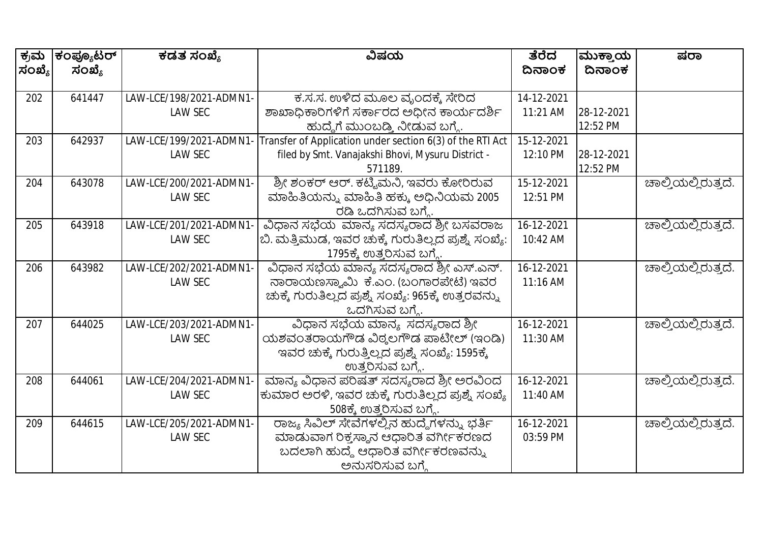| ಕ್ರಮ<br>ಸಂಖ್ಯೆ | ಕಂಪ್ಯೂಟರ್<br>ಸಂಖ್ಯೆ | ಕಡತ ಸಂಖ್ಯೆ              | ವಿಷಯ                                                      | ತೆರೆದ<br>ದಿನಾಂಕ | ಮುಕ್ತಾಯ<br>ದಿನಾಂಕ | ಷರಾ                         |
|----------------|---------------------|-------------------------|-----------------------------------------------------------|-----------------|-------------------|-----------------------------|
|                |                     |                         |                                                           |                 |                   |                             |
| 202            | 641447              | LAW-LCE/198/2021-ADMN1- | ಕ.ಸ.ಸ. ಉಳಿದ ಮೂಲ ವೃಂದಕ್ಕೆ ಸೇರಿದ                            | 14-12-2021      |                   |                             |
|                |                     | <b>LAW SEC</b>          | ಶಾಖಾಧಿಕಾರಿಗಳಿಗೆ ಸರ್ಕಾರದ ಅಧೀನ ಕಾರ್ಯದರ್ಶಿ                   | 11:21 AM        | 28-12-2021        |                             |
|                |                     |                         | ಹುದ್ದೆಗೆ ಮುಂಬಡ್ತಿ ನೀಡುವ ಬಗ್ಗೆ.                            |                 | 12:52 PM          |                             |
| 203            | 642937              | LAW-LCE/199/2021-ADMN1  | Transfer of Application under section 6(3) of the RTI Act | 15-12-2021      |                   |                             |
|                |                     | <b>LAW SEC</b>          | filed by Smt. Vanajakshi Bhovi, Mysuru District -         | 12:10 PM        | 28-12-2021        |                             |
|                |                     |                         | 571189.                                                   |                 | 12:52 PM          |                             |
| 204            | 643078              | LAW-LCE/200/2021-ADMN1- | ಶ್ರೀ ಶಂಕರ್ ಆರ್. ಕಟ್ಟಿಮನಿ, ಇವರು ಕೋರಿರುವ                    | 15-12-2021      |                   | ಹಾಲ್ತಿಯಲ್ಲಿರುತ್ತದೆ.         |
|                |                     | <b>LAW SEC</b>          | ಮಾಹಿತಿಯನ್ನು ಮಾಹಿತಿ ಹಕ್ಕು ಅಧಿನಿಯಮ 2005                     | 12:51 PM        |                   |                             |
|                |                     |                         | ರಡಿ ಒದಗಿಸುವ ಬಗ್ಗೆ.                                        |                 |                   |                             |
| 205            | 643918              | LAW-LCE/201/2021-ADMN1  | ವಿಧಾನ ಸಭೆಯ ಮಾನ್ಯ ಸದಸ್ಯರಾದ ಶ್ರೀ ಬಸವರಾಜ                     | 16-12-2021      |                   | ಚಾಲ್ತಿಯಲ್ಲಿರುತ್ತದೆ.         |
|                |                     | <b>LAW SEC</b>          | ಬಿ. ಮತ್ತಿಮುಡ, ಇವರ ಚುಕ್ಕೆ ಗುರುತಿಲ್ಲದ ಪ್ರಶ್ನೆ ಸಂಖ್ಯೆ:       | 10:42 AM        |                   |                             |
|                |                     |                         | 1795ಕ್ಕೆ ಉತ್ತರಿಸುವ ಬಗ್ಗೆ.                                 |                 |                   |                             |
| 206            | 643982              | LAW-LCE/202/2021-ADMN1- | ವಿಧಾನ ಸಭೆಯ ಮಾನ್ಯ ಸದಸ್ಯರಾದ ಶ್ರೀ ಎಸ್.ಎನ್.                   | 16-12-2021      |                   | <u> ಚಾಲ್ತಿಯಲ್ಲಿರುತ್ತದೆ.</u> |
|                |                     | <b>LAW SEC</b>          | ನಾರಾಯಣಸ್ವಾಮಿ ಕೆ.ಎಂ. (ಬಂಗಾರಪೇಟೆ) ಇವರ                       | 11:16 AM        |                   |                             |
|                |                     |                         | ಚುಕ್ಕೆ ಗುರುತಿಲ್ಲದ ಪ್ರಶ್ನೆ ಸಂಖ್ಯೆ: 965ಕ್ಕೆ ಉತ್ತರವನ್ನು      |                 |                   |                             |
|                |                     |                         | ಒದಗಿಸುವ ಬಗ್ಗೆ.                                            |                 |                   |                             |
| 207            | 644025              | LAW-LCE/203/2021-ADMN1- | ವಿಧಾನ ಸಭೆಯ ಮಾನ್ಯ ಸದಸ್ಯರಾದ ಶ್ರೀ                            | 16-12-2021      |                   | ಚಾಲ್ತಿಯಲ್ಲಿರುತ್ತದೆ.         |
|                |                     | <b>LAW SEC</b>          | ಯಶವಂತರಾಯಗೌಡ ವಿಠ್ಠಲಗೌಡ ಪಾಟೀಲ್ (ಇಂಡಿ)                       | 11:30 AM        |                   |                             |
|                |                     |                         | ಇವರ ಚುಕ್ಕೆ ಗುರುತ್ತಿಲ್ಲದ ಪ್ರಶ್ನೆ ಸಂಖ್ಯೆ: 1595ಕ್ಕೆ          |                 |                   |                             |
|                |                     |                         | ಉತ್ತರಿಸುವ ಬಗ್ಗೆ.                                          |                 |                   |                             |
| 208            | 644061              | LAW-LCE/204/2021-ADMN1  | ಮಾನ್ಯ ವಿಧಾನ ಪರಿಷತ್ ಸದಸ್ಯರಾದ ಶ್ರೀ ಅರವಿಂದ                   | 16-12-2021      |                   | ಚಾಲ್ತಿಯಲ್ಲಿರುತ್ತದೆ.         |
|                |                     | <b>LAW SEC</b>          | ಕುಮಾರ ಅರಳಿ, ಇವರ ಚುಕ್ಕೆ ಗುರುತಿಲ್ಲದ ಪ್ರಶ್ನೆ ಸಂಖ್ಯೆ          | 11:40 AM        |                   |                             |
|                |                     |                         | 508ಕ್ಕೆ ಉತ್ತರಿಸುವ ಬಗ್ಗೆ.                                  |                 |                   |                             |
| 209            | 644615              | LAW-LCE/205/2021-ADMN1- | ರಾಜ್ಯ ಸಿವಿಲ್ ಸೇವೆಗಳಲ್ಲಿನ ಹುದ್ದೆಗಳನ್ನು ಭರ್ತಿ               | 16-12-2021      |                   | ಚಾಲ್ತಿಯಲ್ಲಿರುತ್ತದೆ.         |
|                |                     | <b>LAW SEC</b>          | ಮಾಡುವಾಗ ರಿಕ್ಕಸ್ಥಾನ ಆಧಾರಿತ ವರ್ಗೀಕರಣದ                       | 03:59 PM        |                   |                             |
|                |                     |                         | ಬದಲಾಗಿ ಹುದ್ದೆ ಆಧಾರಿತ ವರ್ಗೀಕರಣವನ್ನು                        |                 |                   |                             |
|                |                     |                         | ಅನುಸರಿಸುವ ಬಗ್ಗೆ                                           |                 |                   |                             |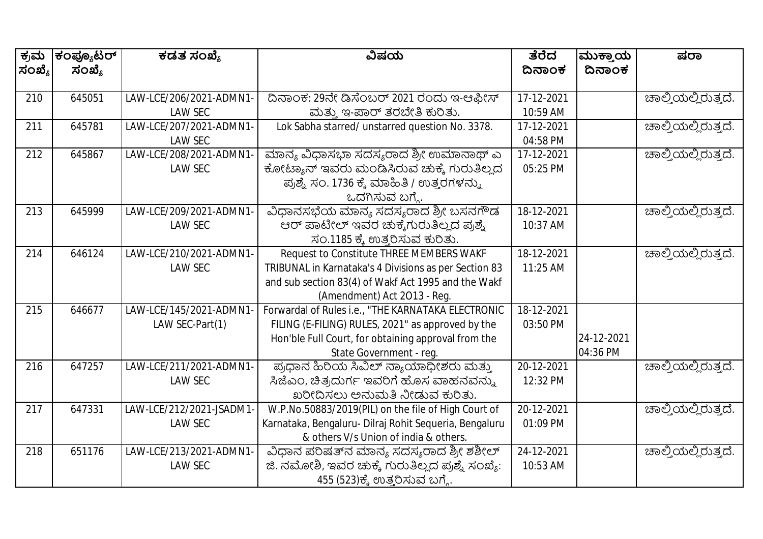| ಕ್ರಮ   | ಕಂಪ್ಯೂಟರ್ | ಕಡತ ಸಂಖ್ಯೆ               | ವಿಷಯ                                                   | ತೆರೆದ      | ಮುಕ್ತಾಯ    | ಷರಾ                 |
|--------|-----------|--------------------------|--------------------------------------------------------|------------|------------|---------------------|
| ಸಂಖ್ಯೆ | ಸಂಖ್ಯೆ    |                          |                                                        | ದಿನಾಂಕ     | ದಿನಾಂಕ     |                     |
|        |           |                          |                                                        |            |            |                     |
| 210    | 645051    | LAW-LCE/206/2021-ADMN1-  | ದಿನಾಂಕ: 29ನೇ ಡಿಸೆಂಬರ್ 2021 ರಂದು ಇ-ಆಫೀಸ್                | 17-12-2021 |            | ಚಾಲ್ತಿಯಲ್ಲಿರುತ್ತದೆ. |
|        |           | <b>LAW SEC</b>           | ಮತ್ತು ಇ-ಪಾರ್ ತರಬೇತಿ ಕುರಿತು.                            | 10:59 AM   |            |                     |
| 211    | 645781    | LAW-LCE/207/2021-ADMN1-  | Lok Sabha starred/ unstarred question No. 3378.        | 17-12-2021 |            | ಚಾಲ್ತಿಯಲ್ಲಿರುತ್ತದೆ. |
|        |           | <b>LAW SEC</b>           |                                                        | 04:58 PM   |            |                     |
| 212    | 645867    | LAW-LCE/208/2021-ADMN1   | ಮಾನ್ಯ ವಿಧಾಸಭಾ ಸದಸ್ಯರಾದ ಶ್ರೀ ಉಮಾನಾಥ್ ಎ                  | 17-12-2021 |            | ಚಾಲ್ತಿಯಲ್ಲಿರುತ್ತದೆ. |
|        |           | <b>LAW SEC</b>           | ಕೋಟ್ಯಾನ್ ಇವರು ಮಂಡಿಸಿರುವ ಚುಕ್ಕೆ ಗುರುತಿಲ್ಲದ              | 05:25 PM   |            |                     |
|        |           |                          | ಪ್ರಶ್ನೆ ಸಂ. 1736 ಕ್ಕೆ ಮಾಹಿತಿ / ಉತ್ತರಗಳನ್ನು             |            |            |                     |
|        |           |                          | ಒದಗಿಸುವ ಬಗ್ಗೆ.                                         |            |            |                     |
| 213    | 645999    | LAW-LCE/209/2021-ADMN1   | ವಿಧಾನಸಭೆಯ ಮಾನ್ಯ ಸದಸ್ಯರಾದ ಶ್ರೀ ಬಸನಗೌಡ                   | 18-12-2021 |            | ಚಾಲ್ತಿಯಲ್ಲಿರುತ್ತದೆ. |
|        |           | <b>LAW SEC</b>           | ಆರ್ ಪಾಟೀಲ್ ಇವರ ಚುಕ್ಕೆಗುರುತಿಲ್ಲದ ಪ್ರಶ್ನೆ                | 10:37 AM   |            |                     |
|        |           |                          | ಸಂ.1185 ಕ್ಕೆ ಉತ್ತರಿಸುವ ಕುರಿತು.                         |            |            |                     |
| 214    | 646124    | LAW-LCE/210/2021-ADMN1-  | Request to Constitute THREE MEMBERS WAKF               | 18-12-2021 |            | ಚಾಲ್ತಿಯಲ್ಲಿರುತ್ತದೆ. |
|        |           | <b>LAW SEC</b>           | TRIBUNAL in Karnataka's 4 Divisions as per Section 83  | 11:25 AM   |            |                     |
|        |           |                          | and sub section 83(4) of Wakf Act 1995 and the Wakf    |            |            |                     |
|        |           |                          | (Amendment) Act 2013 - Reg.                            |            |            |                     |
| 215    | 646677    | LAW-LCE/145/2021-ADMN1   | Forwardal of Rules i.e., "THE KARNATAKA ELECTRONIC     | 18-12-2021 |            |                     |
|        |           | LAW SEC-Part(1)          | FILING (E-FILING) RULES, 2021" as approved by the      | 03:50 PM   |            |                     |
|        |           |                          | Hon'ble Full Court, for obtaining approval from the    |            | 24-12-2021 |                     |
|        |           |                          | State Government - reg.                                |            | 04:36 PM   |                     |
| 216    | 647257    | LAW-LCE/211/2021-ADMN1-  | ಪ್ರಧಾನ ಹಿರಿಯ ಸಿವಿಲ್ ನ್ಯಾಯಾಧೀಶರು ಮತ್ತು                  | 20-12-2021 |            | ಚಾಲ್ತಿಯಲ್ಲಿರುತ್ತದೆ. |
|        |           | <b>LAW SEC</b>           | ಸಿಜೆಎಂ, ಚಿತ್ರದುರ್ಗ ಇವರಿಗೆ ಹೊಸ ವಾಹನವನ್ನು                | 12:32 PM   |            |                     |
|        |           |                          | ಖರೀದಿಸಲು ಅನುಮತಿ ನೀಡುವ ಕುರಿತು.                          |            |            |                     |
| 217    | 647331    | LAW-LCE/212/2021-JSADM1- | W.P.No.50883/2019(PIL) on the file of High Court of    | 20-12-2021 |            | ಚಾಲ್ತಿಯಲ್ಲಿರುತ್ತದೆ. |
|        |           | <b>LAW SEC</b>           | Karnataka, Bengaluru- Dilraj Rohit Sequeria, Bengaluru | 01:09 PM   |            |                     |
|        |           |                          | & others V/s Union of india & others.                  |            |            |                     |
| 218    | 651176    | LAW-LCE/213/2021-ADMN1-  | ವಿಧಾನ ಪರಿಷತ್ನ ಮಾನ್ಯ ಸದಸ್ಯರಾದ ಶ್ರೀ ಶಶೀಲ್                | 24-12-2021 |            | ಚಾಲ್ತಿಯಲ್ಲಿರುತ್ತದೆ. |
|        |           | <b>LAW SEC</b>           | ಜಿ. ನಮೋಶಿ, ಇವರ ಚುಕ್ಕೆ ಗುರುತಿಲ್ಲದ ಪ್ರಶ್ನೆ ಸಂಖ್ಯೆ:       | 10:53 AM   |            |                     |
|        |           |                          | 455 (523)ಕ್ಕೆ ಉತ್ತರಿಸುವ ಬಗ್ಗೆ.                         |            |            |                     |